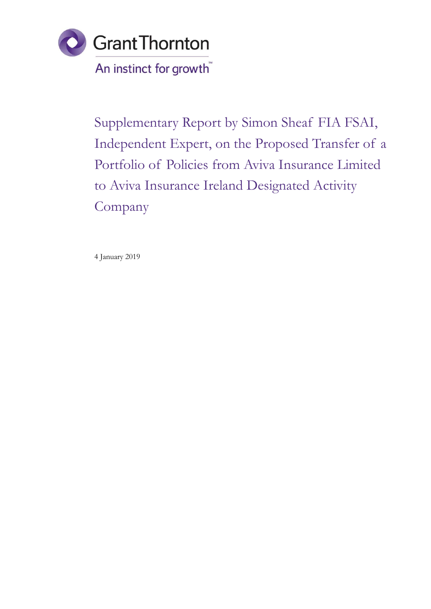

Supplementary Report by Simon Sheaf FIA FSAI, Independent Expert, on the Proposed Transfer of a Portfolio of Policies from Aviva Insurance Limited to Aviva Insurance Ireland Designated Activity Company

4 January 2019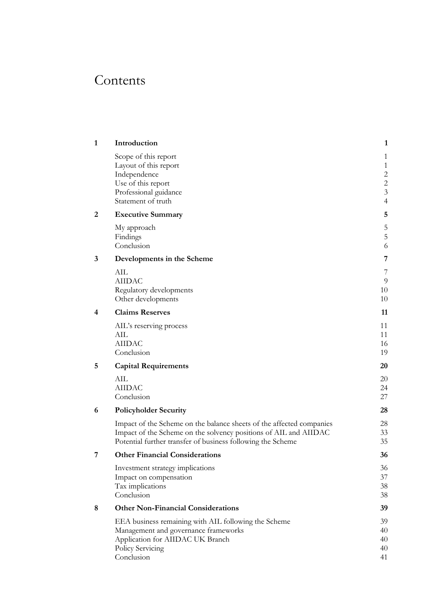# Contents

| 1 | Introduction                                                                                                                                                                                            | $\mathbf{1}$                                                                              |
|---|---------------------------------------------------------------------------------------------------------------------------------------------------------------------------------------------------------|-------------------------------------------------------------------------------------------|
|   | Scope of this report<br>Layout of this report<br>Independence<br>Use of this report<br>Professional guidance<br>Statement of truth                                                                      | 1<br>$\mathbf{1}$<br>$\overline{c}$<br>$\overline{2}$<br>$\overline{3}$<br>$\overline{4}$ |
| 2 | <b>Executive Summary</b>                                                                                                                                                                                | 5                                                                                         |
|   | My approach<br>Findings<br>Conclusion                                                                                                                                                                   | 5<br>5<br>6                                                                               |
| 3 | Developments in the Scheme                                                                                                                                                                              | 7                                                                                         |
|   | AIL<br><b>AIIDAC</b><br>Regulatory developments<br>Other developments                                                                                                                                   | 7<br>$\overline{9}$<br>10<br>10                                                           |
| 4 | <b>Claims Reserves</b>                                                                                                                                                                                  | 11                                                                                        |
|   | AIL's reserving process<br>AIL<br><b>AIIDAC</b><br>Conclusion                                                                                                                                           | 11<br>11<br>16<br>19                                                                      |
| 5 | <b>Capital Requirements</b>                                                                                                                                                                             | 20                                                                                        |
|   | AIL<br><b>AIIDAC</b><br>Conclusion                                                                                                                                                                      | 20<br>24<br>27                                                                            |
| 6 | <b>Policyholder Security</b>                                                                                                                                                                            | 28                                                                                        |
|   | Impact of the Scheme on the balance sheets of the affected companies<br>Impact of the Scheme on the solvency positions of AIL and AIIDAC<br>Potential further transfer of business following the Scheme | 28<br>33<br>35                                                                            |
| 7 | <b>Other Financial Considerations</b>                                                                                                                                                                   | 36                                                                                        |
|   | Investment strategy implications<br>Impact on compensation<br>Tax implications<br>Conclusion                                                                                                            | 36<br>37<br>38<br>38                                                                      |
| 8 | <b>Other Non-Financial Considerations</b>                                                                                                                                                               | 39                                                                                        |
|   | EEA business remaining with AIL following the Scheme<br>Management and governance frameworks<br>Application for AIIDAC UK Branch<br>Policy Servicing<br>Conclusion                                      | 39<br>40<br>40<br>40<br>41                                                                |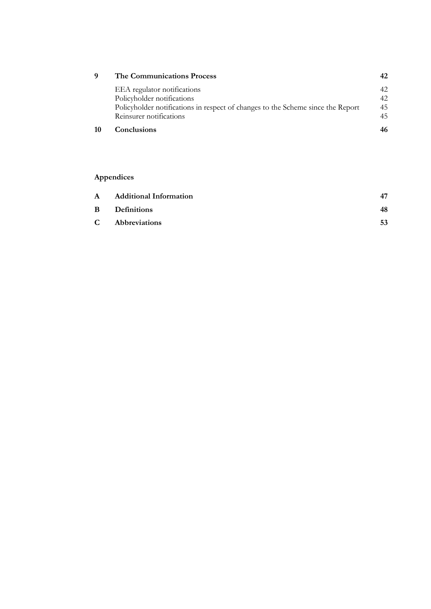| 9 | <b>The Communications Process</b>                                               |    |
|---|---------------------------------------------------------------------------------|----|
|   | EEA regulator notifications                                                     |    |
|   | Policyholder notifications                                                      |    |
|   | Policyholder notifications in respect of changes to the Scheme since the Report | 45 |
|   | Reinsurer notifications                                                         |    |
|   | <b>Conclusions</b>                                                              |    |

## Appendices

| $\mathbf{A}$ | <b>Additional Information</b> |    |
|--------------|-------------------------------|----|
| $\bf{B}$     | <b>Definitions</b>            | 48 |
| C.           | Abbreviations                 | 53 |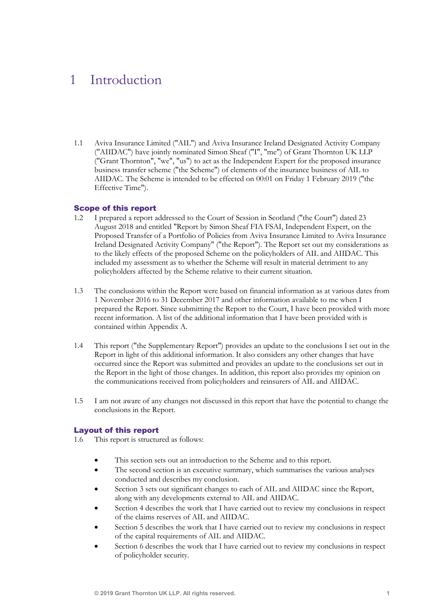## 1 Introduction

1.1 Aviva Insurance Limited ("AIL") and Aviva Insurance Ireland Designated Activity Company ("AIIDAC") have jointly nominated Simon Sheaf ("I", "me") of Grant Thornton UK LLP ("Grant Thornton", "we", "us") to act as the Independent Expert for the proposed insurance business transfer scheme ("the Scheme") of elements of the insurance business of AIL to AIIDAC. The Scheme is intended to be effected on 00:01 on Friday 1 February 2019 ("the Effective Time").

## Scope of this report

- 1.2 I prepared a report addressed to the Court of Session in Scotland ("the Court") dated 23 August 2018 and entitled "Report by Simon Sheaf FIA FSAI, Independent Expert, on the Proposed Transfer of a Portfolio of Policies from Aviva Insurance Limited to Aviva Insurance Ireland Designated Activity Company" ("the Report"). The Report set out my considerations as to the likely effects of the proposed Scheme on the policyholders of AIL and AIIDAC. This included my assessment as to whether the Scheme will result in material detriment to any policyholders affected by the Scheme relative to their current situation.
- 1.3 The conclusions within the Report were based on financial information as at various dates from 1 November 2016 to 31 December 2017 and other information available to me when I prepared the Report. Since submitting the Report to the Court, I have been provided with more recent information. A list of the additional information that I have been provided with is contained within Appendix A.
- 1.4 This report ("the Supplementary Report") provides an update to the conclusions I set out in the Report in light of this additional information. It also considers any other changes that have occurred since the Report was submitted and provides an update to the conclusions set out in the Report in the light of those changes. In addition, this report also provides my opinion on the communications received from policyholders and reinsurers of AIL and AIIDAC.
- 1.5 I am not aware of any changes not discussed in this report that have the potential to change the conclusions in the Report.

#### Layout of this report

- 1.6 This report is structured as follows:
	- This section sets out an introduction to the Scheme and to this report.
	- The second section is an executive summary, which summarises the various analyses conducted and describes my conclusion.
	- Section 3 sets out significant changes to each of AIL and AIIDAC since the Report, along with any developments external to AIL and AIIDAC.
	- Section 4 describes the work that I have carried out to review my conclusions in respect of the claims reserves of AIL and AIIDAC.
	- Section 5 describes the work that I have carried out to review my conclusions in respect of the capital requirements of AIL and AIIDAC.
	- Section 6 describes the work that I have carried out to review my conclusions in respect of policyholder security.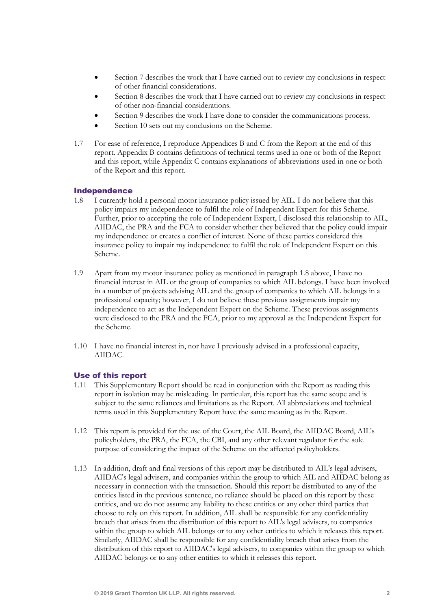- Section 7 describes the work that I have carried out to review my conclusions in respect of other financial considerations.
- Section 8 describes the work that I have carried out to review my conclusions in respect of other non-financial considerations.
- Section 9 describes the work I have done to consider the communications process.
- Section 10 sets out my conclusions on the Scheme.
- 1.7 For ease of reference, I reproduce Appendices B and C from the Report at the end of this report. Appendix B contains definitions of technical terms used in one or both of the Report and this report, while Appendix C contains explanations of abbreviations used in one or both of the Report and this report.

#### Independence

- 1.8 I currently hold a personal motor insurance policy issued by AIL. I do not believe that this policy impairs my independence to fulfil the role of Independent Expert for this Scheme. Further, prior to accepting the role of Independent Expert, I disclosed this relationship to AIL, AIIDAC, the PRA and the FCA to consider whether they believed that the policy could impair my independence or creates a conflict of interest. None of these parties considered this insurance policy to impair my independence to fulfil the role of Independent Expert on this Scheme.
- 1.9 Apart from my motor insurance policy as mentioned in paragraph 1.8 above, I have no financial interest in AIL or the group of companies to which AIL belongs. I have been involved in a number of projects advising AIL and the group of companies to which AIL belongs in a professional capacity; however, I do not believe these previous assignments impair my independence to act as the Independent Expert on the Scheme. These previous assignments were disclosed to the PRA and the FCA, prior to my approval as the Independent Expert for the Scheme.
- 1.10 I have no financial interest in, nor have I previously advised in a professional capacity, AIIDAC.

#### Use of this report

- 1.11 This Supplementary Report should be read in conjunction with the Report as reading this report in isolation may be misleading. In particular, this report has the same scope and is subject to the same reliances and limitations as the Report. All abbreviations and technical terms used in this Supplementary Report have the same meaning as in the Report.
- 1.12 This report is provided for the use of the Court, the AIL Board, the AIIDAC Board, AIL's policyholders, the PRA, the FCA, the CBI, and any other relevant regulator for the sole purpose of considering the impact of the Scheme on the affected policyholders.
- 1.13 In addition, draft and final versions of this report may be distributed to AIL's legal advisers, AIIDAC's legal advisers, and companies within the group to which AIL and AIIDAC belong as necessary in connection with the transaction. Should this report be distributed to any of the entities listed in the previous sentence, no reliance should be placed on this report by these entities, and we do not assume any liability to these entities or any other third parties that choose to rely on this report. In addition, AIL shall be responsible for any confidentiality breach that arises from the distribution of this report to AIL's legal advisers, to companies within the group to which AIL belongs or to any other entities to which it releases this report. Similarly, AIIDAC shall be responsible for any confidentiality breach that arises from the distribution of this report to AIIDAC's legal advisers, to companies within the group to which AIIDAC belongs or to any other entities to which it releases this report.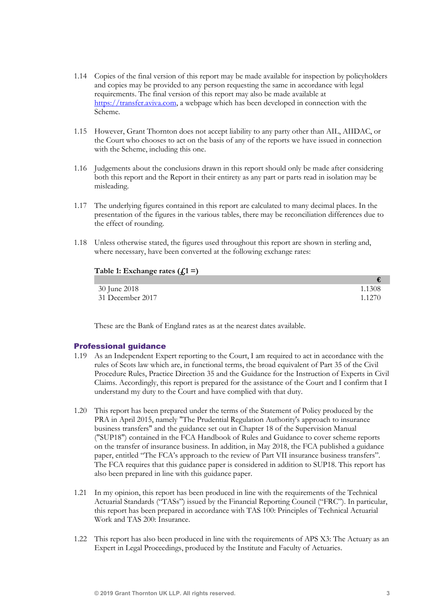- 1.14 Copies of the final version of this report may be made available for inspection by policyholders and copies may be provided to any person requesting the same in accordance with legal requirements. The final version of this report may also be made available at https://transfer.aviva.com, a webpage which has been developed in connection with the Scheme.
- 1.15 However, Grant Thornton does not accept liability to any party other than AIL, AIIDAC, or the Court who chooses to act on the basis of any of the reports we have issued in connection with the Scheme, including this one.
- 1.16 Judgements about the conclusions drawn in this report should only be made after considering both this report and the Report in their entirety as any part or parts read in isolation may be misleading.
- 1.17 The underlying figures contained in this report are calculated to many decimal places. In the presentation of the figures in the various tables, there may be reconciliation differences due to the effect of rounding.
- 1.18 Unless otherwise stated, the figures used throughout this report are shown in sterling and, where necessary, have been converted at the following exchange rates:

| Table 1: Exchange rates $(fi1 =)$ |           |  |
|-----------------------------------|-----------|--|
|                                   |           |  |
| 30 June 2018                      | 1.1308    |  |
| 31 December 2017                  | 1 1 2 7 0 |  |

These are the Bank of England rates as at the nearest dates available.

## Professional guidance

- 1.19 As an Independent Expert reporting to the Court, I am required to act in accordance with the rules of Scots law which are, in functional terms, the broad equivalent of Part 35 of the Civil Procedure Rules, Practice Direction 35 and the Guidance for the Instruction of Experts in Civil Claims. Accordingly, this report is prepared for the assistance of the Court and I confirm that I understand my duty to the Court and have complied with that duty.
- 1.20 This report has been prepared under the terms of the Statement of Policy produced by the PRA in April 2015, namely "The Prudential Regulation Authority's approach to insurance business transfers" and the guidance set out in Chapter 18 of the Supervision Manual ("SUP18") contained in the FCA Handbook of Rules and Guidance to cover scheme reports on the transfer of insurance business. In addition, in May 2018, the FCA published a guidance paper, entitled "The FCA's approach to the review of Part VII insurance business transfers". The FCA requires that this guidance paper is considered in addition to SUP18. This report has also been prepared in line with this guidance paper.
- 1.21 In my opinion, this report has been produced in line with the requirements of the Technical Actuarial Standards ("TASs") issued by the Financial Reporting Council ("FRC"). In particular, this report has been prepared in accordance with TAS 100: Principles of Technical Actuarial Work and TAS 200: Insurance.
- 1.22 This report has also been produced in line with the requirements of APS X3: The Actuary as an Expert in Legal Proceedings, produced by the Institute and Faculty of Actuaries.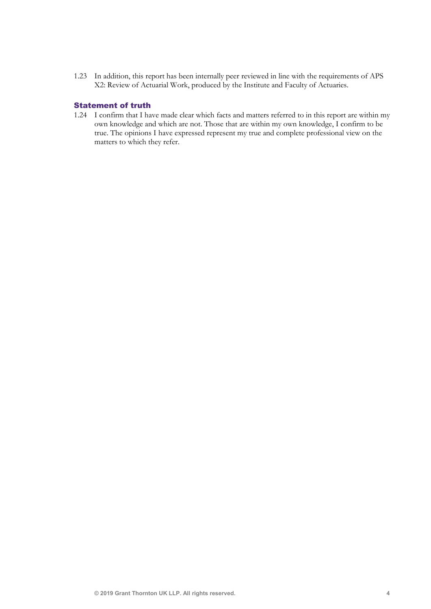1.23 In addition, this report has been internally peer reviewed in line with the requirements of APS X2: Review of Actuarial Work, produced by the Institute and Faculty of Actuaries.

#### Statement of truth

1.24 I confirm that I have made clear which facts and matters referred to in this report are within my own knowledge and which are not. Those that are within my own knowledge, I confirm to be true. The opinions I have expressed represent my true and complete professional view on the matters to which they refer.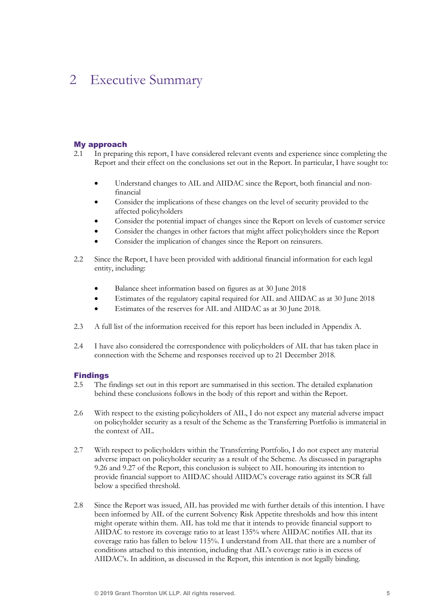## 2 Executive Summary

### My approach

- 2.1 In preparing this report, I have considered relevant events and experience since completing the Report and their effect on the conclusions set out in the Report. In particular, I have sought to:
	- Understand changes to AIL and AIIDAC since the Report, both financial and nonfinancial
	- Consider the implications of these changes on the level of security provided to the affected policyholders
	- Consider the potential impact of changes since the Report on levels of customer service
	- Consider the changes in other factors that might affect policyholders since the Report
	- Consider the implication of changes since the Report on reinsurers.
- 2.2 Since the Report, I have been provided with additional financial information for each legal entity, including:
	- Balance sheet information based on figures as at 30 June 2018
	- Estimates of the regulatory capital required for AIL and AIIDAC as at 30 June 2018
	- Estimates of the reserves for AIL and AIIDAC as at 30 June 2018.
- 2.3 A full list of the information received for this report has been included in Appendix A.
- 2.4 I have also considered the correspondence with policyholders of AIL that has taken place in connection with the Scheme and responses received up to 21 December 2018.

## Findings

- 2.5 The findings set out in this report are summarised in this section. The detailed explanation behind these conclusions follows in the body of this report and within the Report.
- 2.6 With respect to the existing policyholders of AIL, I do not expect any material adverse impact on policyholder security as a result of the Scheme as the Transferring Portfolio is immaterial in the context of AIL.
- 2.7 With respect to policyholders within the Transferring Portfolio, I do not expect any material adverse impact on policyholder security as a result of the Scheme. As discussed in paragraphs 9.26 and 9.27 of the Report, this conclusion is subject to AIL honouring its intention to provide financial support to AIIDAC should AIIDAC's coverage ratio against its SCR fall below a specified threshold.
- 2.8 Since the Report was issued, AIL has provided me with further details of this intention. I have been informed by AIL of the current Solvency Risk Appetite thresholds and how this intent might operate within them. AIL has told me that it intends to provide financial support to AIIDAC to restore its coverage ratio to at least 135% where AIIDAC notifies AIL that its coverage ratio has fallen to below 115%. I understand from AIL that there are a number of conditions attached to this intention, including that AIL's coverage ratio is in excess of AIIDAC's. In addition, as discussed in the Report, this intention is not legally binding.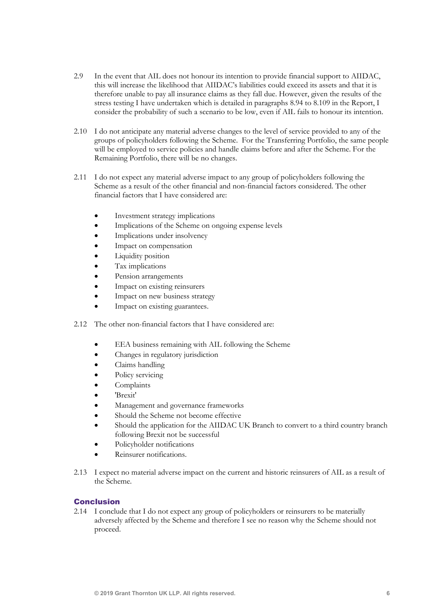- 2.9 In the event that AIL does not honour its intention to provide financial support to AIIDAC, this will increase the likelihood that AIIDAC's liabilities could exceed its assets and that it is therefore unable to pay all insurance claims as they fall due. However, given the results of the stress testing I have undertaken which is detailed in paragraphs 8.94 to 8.109 in the Report, I consider the probability of such a scenario to be low, even if AIL fails to honour its intention.
- 2.10 I do not anticipate any material adverse changes to the level of service provided to any of the groups of policyholders following the Scheme. For the Transferring Portfolio, the same people will be employed to service policies and handle claims before and after the Scheme. For the Remaining Portfolio, there will be no changes.
- 2.11 I do not expect any material adverse impact to any group of policyholders following the Scheme as a result of the other financial and non-financial factors considered. The other financial factors that I have considered are:
	- Investment strategy implications
	- Implications of the Scheme on ongoing expense levels
	- Implications under insolvency
	- Impact on compensation
	- Liquidity position
	- Tax implications
	- Pension arrangements
	- Impact on existing reinsurers
	- Impact on new business strategy
	- Impact on existing guarantees.
- 2.12 The other non-financial factors that I have considered are:
	- EEA business remaining with AIL following the Scheme
	- Changes in regulatory jurisdiction
	- Claims handling
	- Policy servicing
	- **Complaints**
	- 'Brexit'
	- Management and governance frameworks
	- Should the Scheme not become effective
	- Should the application for the AIIDAC UK Branch to convert to a third country branch following Brexit not be successful
	- Policyholder notifications
	- Reinsurer notifications.
- 2.13 I expect no material adverse impact on the current and historic reinsurers of AIL as a result of the Scheme.

## Conclusion

2.14 I conclude that I do not expect any group of policyholders or reinsurers to be materially adversely affected by the Scheme and therefore I see no reason why the Scheme should not proceed.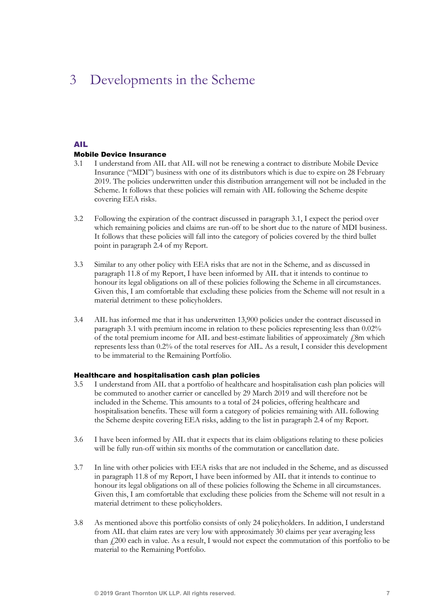## 3 Developments in the Scheme

### AIL

#### Mobile Device Insurance

- 3.1 I understand from AIL that AIL will not be renewing a contract to distribute Mobile Device Insurance ("MDI") business with one of its distributors which is due to expire on 28 February 2019. The policies underwritten under this distribution arrangement will not be included in the Scheme. It follows that these policies will remain with AIL following the Scheme despite covering EEA risks.
- 3.2 Following the expiration of the contract discussed in paragraph 3.1, I expect the period over which remaining policies and claims are run-off to be short due to the nature of MDI business. It follows that these policies will fall into the category of policies covered by the third bullet point in paragraph 2.4 of my Report.
- 3.3 Similar to any other policy with EEA risks that are not in the Scheme, and as discussed in paragraph 11.8 of my Report, I have been informed by AIL that it intends to continue to honour its legal obligations on all of these policies following the Scheme in all circumstances. Given this, I am comfortable that excluding these policies from the Scheme will not result in a material detriment to these policyholders.
- 3.4 AIL has informed me that it has underwritten 13,900 policies under the contract discussed in paragraph 3.1 with premium income in relation to these policies representing less than 0.02% of the total premium income for AIL and best-estimate liabilities of approximately  $\ell$ 8m which represents less than 0.2% of the total reserves for AIL. As a result, I consider this development to be immaterial to the Remaining Portfolio.

#### Healthcare and hospitalisation cash plan policies

- 3.5 I understand from AIL that a portfolio of healthcare and hospitalisation cash plan policies will be commuted to another carrier or cancelled by 29 March 2019 and will therefore not be included in the Scheme. This amounts to a total of 24 policies, offering healthcare and hospitalisation benefits. These will form a category of policies remaining with AIL following the Scheme despite covering EEA risks, adding to the list in paragraph 2.4 of my Report.
- 3.6 I have been informed by AIL that it expects that its claim obligations relating to these policies will be fully run-off within six months of the commutation or cancellation date.
- 3.7 In line with other policies with EEA risks that are not included in the Scheme, and as discussed in paragraph 11.8 of my Report, I have been informed by AIL that it intends to continue to honour its legal obligations on all of these policies following the Scheme in all circumstances. Given this, I am comfortable that excluding these policies from the Scheme will not result in a material detriment to these policyholders.
- 3.8 As mentioned above this portfolio consists of only 24 policyholders. In addition, I understand from AIL that claim rates are very low with approximately 30 claims per year averaging less than  $\mu$  200 each in value. As a result, I would not expect the commutation of this portfolio to be material to the Remaining Portfolio.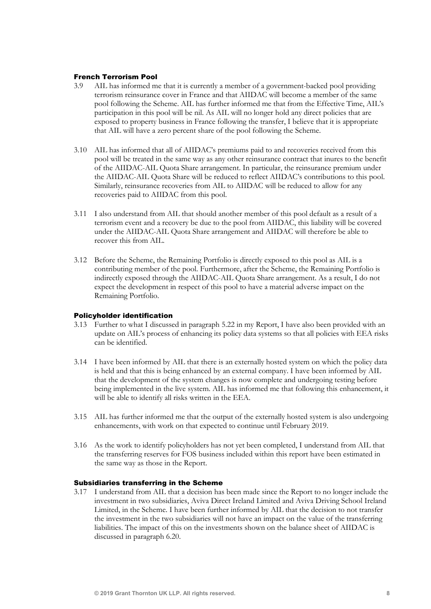#### French Terrorism Pool

- 3.9 AIL has informed me that it is currently a member of a government-backed pool providing terrorism reinsurance cover in France and that AIIDAC will become a member of the same pool following the Scheme. AIL has further informed me that from the Effective Time, AIL's participation in this pool will be nil. As AIL will no longer hold any direct policies that are exposed to property business in France following the transfer, I believe that it is appropriate that AIL will have a zero percent share of the pool following the Scheme.
- 3.10 AIL has informed that all of AIIDAC's premiums paid to and recoveries received from this pool will be treated in the same way as any other reinsurance contract that inures to the benefit of the AIIDAC-AIL Quota Share arrangement. In particular, the reinsurance premium under the AIIDAC-AIL Quota Share will be reduced to reflect AIIDAC's contributions to this pool. Similarly, reinsurance recoveries from AIL to AIIDAC will be reduced to allow for any recoveries paid to AIIDAC from this pool.
- 3.11 I also understand from AIL that should another member of this pool default as a result of a terrorism event and a recovery be due to the pool from AIIDAC, this liability will be covered under the AIIDAC-AIL Quota Share arrangement and AIIDAC will therefore be able to recover this from AIL.
- 3.12 Before the Scheme, the Remaining Portfolio is directly exposed to this pool as AIL is a contributing member of the pool. Furthermore, after the Scheme, the Remaining Portfolio is indirectly exposed through the AIIDAC-AIL Quota Share arrangement. As a result, I do not expect the development in respect of this pool to have a material adverse impact on the Remaining Portfolio.

#### Policyholder identification

- 3.13 Further to what I discussed in paragraph 5.22 in my Report, I have also been provided with an update on AIL's process of enhancing its policy data systems so that all policies with EEA risks can be identified.
- 3.14 I have been informed by AIL that there is an externally hosted system on which the policy data is held and that this is being enhanced by an external company. I have been informed by AIL that the development of the system changes is now complete and undergoing testing before being implemented in the live system. AIL has informed me that following this enhancement, it will be able to identify all risks written in the EEA.
- 3.15 AIL has further informed me that the output of the externally hosted system is also undergoing enhancements, with work on that expected to continue until February 2019.
- 3.16 As the work to identify policyholders has not yet been completed, I understand from AIL that the transferring reserves for FOS business included within this report have been estimated in the same way as those in the Report.

#### Subsidiaries transferring in the Scheme

3.17 I understand from AIL that a decision has been made since the Report to no longer include the investment in two subsidiaries, Aviva Direct Ireland Limited and Aviva Driving School Ireland Limited, in the Scheme. I have been further informed by AIL that the decision to not transfer the investment in the two subsidiaries will not have an impact on the value of the transferring liabilities. The impact of this on the investments shown on the balance sheet of AIIDAC is discussed in paragraph 6.20.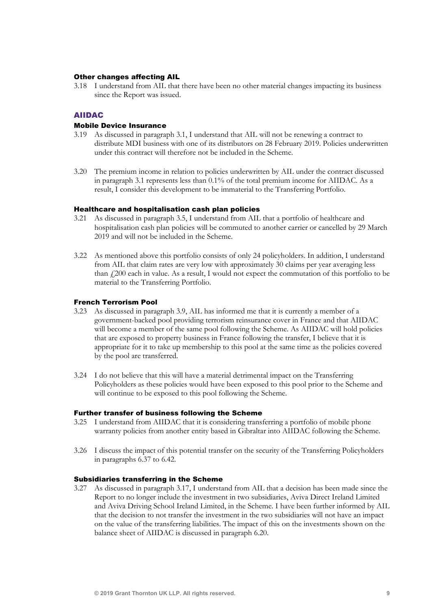#### Other changes affecting AIL

3.18 I understand from AIL that there have been no other material changes impacting its business since the Report was issued.

## AIIDAC

#### Mobile Device Insurance

- 3.19 As discussed in paragraph 3.1, I understand that AIL will not be renewing a contract to distribute MDI business with one of its distributors on 28 February 2019. Policies underwritten under this contract will therefore not be included in the Scheme.
- 3.20 The premium income in relation to policies underwritten by AIL under the contract discussed in paragraph 3.1 represents less than 0.1% of the total premium income for AIIDAC. As a result, I consider this development to be immaterial to the Transferring Portfolio.

### Healthcare and hospitalisation cash plan policies

- 3.21 As discussed in paragraph 3.5, I understand from AIL that a portfolio of healthcare and hospitalisation cash plan policies will be commuted to another carrier or cancelled by 29 March 2019 and will not be included in the Scheme.
- 3.22 As mentioned above this portfolio consists of only 24 policyholders. In addition, I understand from AIL that claim rates are very low with approximately 30 claims per year averaging less than  $\mu$ 200 each in value. As a result, I would not expect the commutation of this portfolio to be material to the Transferring Portfolio.

#### French Terrorism Pool

- 3.23 As discussed in paragraph 3.9, AIL has informed me that it is currently a member of a government-backed pool providing terrorism reinsurance cover in France and that AIIDAC will become a member of the same pool following the Scheme. As AIIDAC will hold policies that are exposed to property business in France following the transfer, I believe that it is appropriate for it to take up membership to this pool at the same time as the policies covered by the pool are transferred.
- 3.24 I do not believe that this will have a material detrimental impact on the Transferring Policyholders as these policies would have been exposed to this pool prior to the Scheme and will continue to be exposed to this pool following the Scheme.

#### Further transfer of business following the Scheme

- 3.25 I understand from AIIDAC that it is considering transferring a portfolio of mobile phone warranty policies from another entity based in Gibraltar into AIIDAC following the Scheme.
- 3.26 I discuss the impact of this potential transfer on the security of the Transferring Policyholders in paragraphs 6.37 to 6.42.

#### Subsidiaries transferring in the Scheme

3.27 As discussed in paragraph 3.17, I understand from AIL that a decision has been made since the Report to no longer include the investment in two subsidiaries, Aviva Direct Ireland Limited and Aviva Driving School Ireland Limited, in the Scheme. I have been further informed by AIL that the decision to not transfer the investment in the two subsidiaries will not have an impact on the value of the transferring liabilities. The impact of this on the investments shown on the balance sheet of AIIDAC is discussed in paragraph 6.20.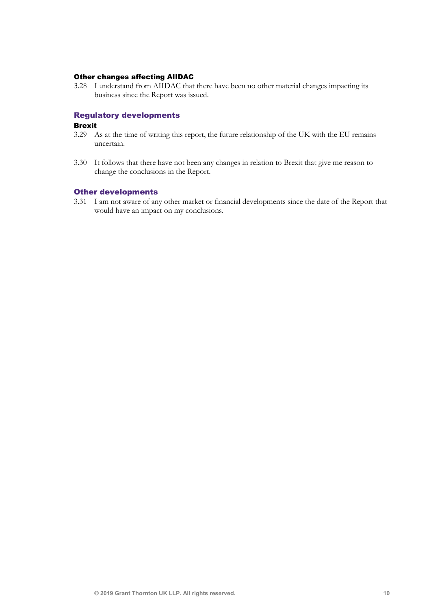### Other changes affecting AIIDAC

3.28 I understand from AIIDAC that there have been no other material changes impacting its business since the Report was issued.

## Regulatory developments

#### Brexit

- 3.29 As at the time of writing this report, the future relationship of the UK with the EU remains uncertain.
- 3.30 It follows that there have not been any changes in relation to Brexit that give me reason to change the conclusions in the Report.

#### Other developments

3.31 I am not aware of any other market or financial developments since the date of the Report that would have an impact on my conclusions.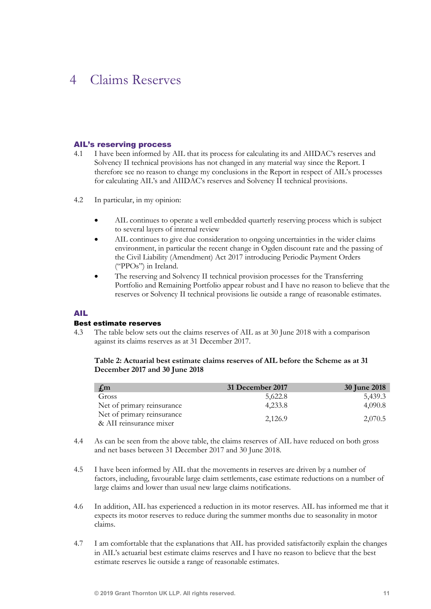## 4 Claims Reserves

#### AIL's reserving process

- 4.1 I have been informed by AIL that its process for calculating its and AIIDAC's reserves and Solvency II technical provisions has not changed in any material way since the Report. I therefore see no reason to change my conclusions in the Report in respect of AIL's processes for calculating AIL's and AIIDAC's reserves and Solvency II technical provisions.
- 4.2 In particular, in my opinion:
	- AIL continues to operate a well embedded quarterly reserving process which is subject to several layers of internal review
	- AIL continues to give due consideration to ongoing uncertainties in the wider claims environment, in particular the recent change in Ogden discount rate and the passing of the Civil Liability (Amendment) Act 2017 introducing Periodic Payment Orders ("PPOs") in Ireland.
	- The reserving and Solvency II technical provision processes for the Transferring Portfolio and Remaining Portfolio appear robust and I have no reason to believe that the reserves or Solvency II technical provisions lie outside a range of reasonable estimates.

#### AIL

#### Best estimate reserves

4.3 The table below sets out the claims reserves of AIL as at 30 June 2018 with a comparison against its claims reserves as at 31 December 2017.

### Table 2: Actuarial best estimate claims reserves of AIL before the Scheme as at 31 December 2017 and 30 June 2018

| $\int_{\mathbb{R}}$ m                                 | 31 December 2017 | <b>30 June 2018</b> |
|-------------------------------------------------------|------------------|---------------------|
| Gross                                                 | 5,622.8          | 5,439.3             |
| Net of primary reinsurance                            | 4.233.8          | 4,090.8             |
| Net of primary reinsurance<br>& AII reinsurance mixer | 2,126.9          | 2,070.5             |

- 4.4 As can be seen from the above table, the claims reserves of AIL have reduced on both gross and net bases between 31 December 2017 and 30 June 2018.
- 4.5 I have been informed by AIL that the movements in reserves are driven by a number of factors, including, favourable large claim settlements, case estimate reductions on a number of large claims and lower than usual new large claims notifications.
- 4.6 In addition, AIL has experienced a reduction in its motor reserves. AIL has informed me that it expects its motor reserves to reduce during the summer months due to seasonality in motor claims.
- 4.7 I am comfortable that the explanations that AIL has provided satisfactorily explain the changes in AIL's actuarial best estimate claims reserves and I have no reason to believe that the best estimate reserves lie outside a range of reasonable estimates.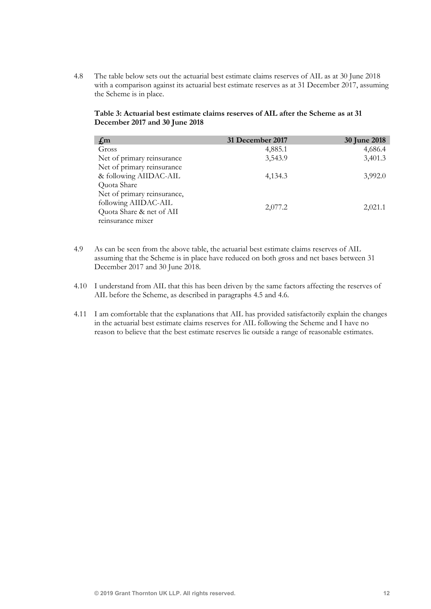4.8 The table below sets out the actuarial best estimate claims reserves of AIL as at 30 June 2018 with a comparison against its actuarial best estimate reserves as at 31 December 2017, assuming the Scheme is in place.

#### Table 3: Actuarial best estimate claims reserves of AIL after the Scheme as at 31 December 2017 and 30 June 2018

| $f_{,m}$                    | 31 December 2017 | <b>30 June 2018</b> |
|-----------------------------|------------------|---------------------|
| Gross                       | 4,885.1          | 4,686.4             |
| Net of primary reinsurance  | 3,543.9          | 3,401.3             |
| Net of primary reinsurance  |                  |                     |
| & following AIIDAC-AIL      | 4,134.3          | 3,992.0             |
| Quota Share                 |                  |                     |
| Net of primary reinsurance, |                  |                     |
| following AIIDAC-AIL        |                  |                     |
| Quota Share & net of AII    | 2,077.2          | 2,021.1             |
| reinsurance mixer           |                  |                     |

- 4.9 As can be seen from the above table, the actuarial best estimate claims reserves of AIL assuming that the Scheme is in place have reduced on both gross and net bases between 31 December 2017 and 30 June 2018.
- 4.10 I understand from AIL that this has been driven by the same factors affecting the reserves of AIL before the Scheme, as described in paragraphs 4.5 and 4.6.
- 4.11 I am comfortable that the explanations that AIL has provided satisfactorily explain the changes in the actuarial best estimate claims reserves for AIL following the Scheme and I have no reason to believe that the best estimate reserves lie outside a range of reasonable estimates.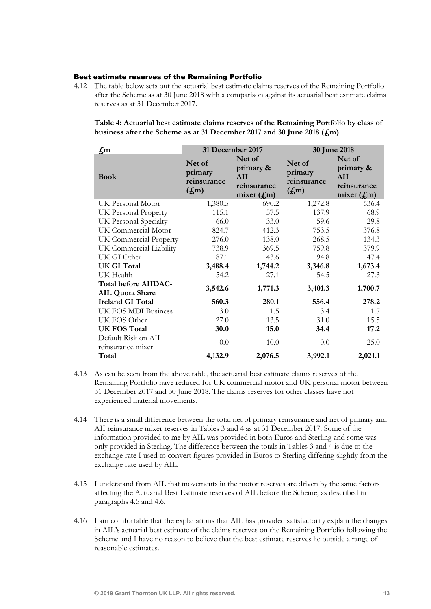#### Best estimate reserves of the Remaining Portfolio

4.12 The table below sets out the actuarial best estimate claims reserves of the Remaining Portfolio after the Scheme as at 30 June 2018 with a comparison against its actuarial best estimate claims reserves as at 31 December 2017.

Table 4: Actuarial best estimate claims reserves of the Remaining Portfolio by class of business after the Scheme as at 31 December 2017 and 30 June 2018 ( $f_{\text{m}}$ )

| $f_{\rm m}$                                    | 31 December 2017                                      |                                                           | 30 June 2018                                          |                                                           |
|------------------------------------------------|-------------------------------------------------------|-----------------------------------------------------------|-------------------------------------------------------|-----------------------------------------------------------|
| <b>Book</b>                                    | Net of<br>primary<br>reinsurance<br>(f <sub>m</sub> ) | Net of<br>primary &<br>AII<br>reinsurance<br>mixer $(fm)$ | Net of<br>primary<br>reinsurance<br>(f <sub>m</sub> ) | Net of<br>primary &<br>AII<br>reinsurance<br>mixer $(fm)$ |
| UK Personal Motor                              | 1,380.5                                               | 690.2                                                     | 1,272.8                                               | 636.4                                                     |
| UK Personal Property                           | 115.1                                                 | 57.5                                                      | 137.9                                                 | 68.9                                                      |
| UK Personal Specialty                          | 66.0                                                  | 33.0                                                      | 59.6                                                  | 29.8                                                      |
| UK Commercial Motor                            | 824.7                                                 | 412.3                                                     | 753.5                                                 | 376.8                                                     |
| UK Commercial Property                         | 276.0                                                 | 138.0                                                     | 268.5                                                 | 134.3                                                     |
| UK Commercial Liability                        | 738.9                                                 | 369.5                                                     | 759.8                                                 | 379.9                                                     |
| UK GI Other                                    | 87.1                                                  | 43.6                                                      | 94.8                                                  | 47.4                                                      |
| <b>UK GI Total</b>                             | 3,488.4                                               | 1,744.2                                                   | 3,346.8                                               | 1,673.4                                                   |
| UK Health                                      | 54.2                                                  | 27.1                                                      | 54.5                                                  | 27.3                                                      |
| <b>Total before AIIDAC-</b><br>AIL Quota Share | 3,542.6                                               | 1,771.3                                                   | 3,401.3                                               | 1,700.7                                                   |
| <b>Ireland GI Total</b>                        | 560.3                                                 | 280.1                                                     | 556.4                                                 | 278.2                                                     |
| UK FOS MDI Business                            | 3.0                                                   | 1.5                                                       | 3.4                                                   | 1.7                                                       |
| UK FOS Other                                   | 27.0                                                  | 13.5                                                      | 31.0                                                  | 15.5                                                      |
| <b>UK FOS Total</b>                            | 30.0                                                  | 15.0                                                      | 34.4                                                  | 17.2                                                      |
| Default Risk on AII<br>reinsurance mixer       | 0.0                                                   | 10.0                                                      | 0.0                                                   | 25.0                                                      |
| Total                                          | 4,132.9                                               | 2,076.5                                                   | 3,992.1                                               | 2,021.1                                                   |

- 4.13 As can be seen from the above table, the actuarial best estimate claims reserves of the Remaining Portfolio have reduced for UK commercial motor and UK personal motor between 31 December 2017 and 30 June 2018. The claims reserves for other classes have not experienced material movements.
- 4.14 There is a small difference between the total net of primary reinsurance and net of primary and AII reinsurance mixer reserves in Tables 3 and 4 as at 31 December 2017. Some of the information provided to me by AIL was provided in both Euros and Sterling and some was only provided in Sterling. The difference between the totals in Tables 3 and 4 is due to the exchange rate I used to convert figures provided in Euros to Sterling differing slightly from the exchange rate used by AIL.
- 4.15 I understand from AIL that movements in the motor reserves are driven by the same factors affecting the Actuarial Best Estimate reserves of AIL before the Scheme, as described in paragraphs 4.5 and 4.6.
- 4.16 I am comfortable that the explanations that AIL has provided satisfactorily explain the changes in AIL's actuarial best estimate of the claims reserves on the Remaining Portfolio following the Scheme and I have no reason to believe that the best estimate reserves lie outside a range of reasonable estimates.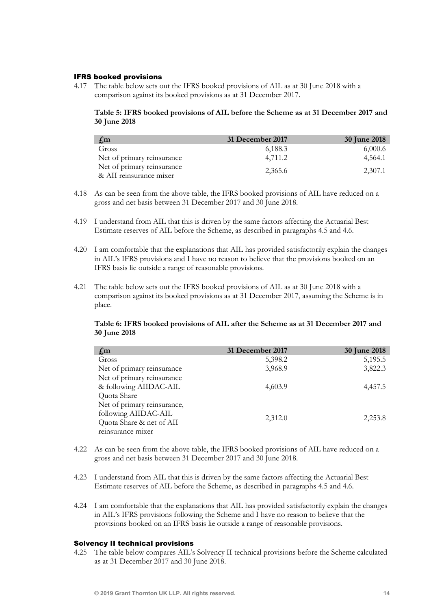#### IFRS booked provisions

4.17 The table below sets out the IFRS booked provisions of AIL as at 30 June 2018 with a comparison against its booked provisions as at 31 December 2017.

## Table 5: IFRS booked provisions of AIL before the Scheme as at 31 December 2017 and 30 June 2018

| $\int_{\mathbb{R}}$ m                                 | 31 December 2017 | <b>30 June 2018</b> |
|-------------------------------------------------------|------------------|---------------------|
| Gross                                                 | 6,188.3          | 6,000.6             |
| Net of primary reinsurance                            | 4.711.2          | 4,564.1             |
| Net of primary reinsurance<br>& AII reinsurance mixer | 2,365.6          | 2,307.1             |

- 4.18 As can be seen from the above table, the IFRS booked provisions of AIL have reduced on a gross and net basis between 31 December 2017 and 30 June 2018.
- 4.19 I understand from AIL that this is driven by the same factors affecting the Actuarial Best Estimate reserves of AIL before the Scheme, as described in paragraphs 4.5 and 4.6.
- 4.20 I am comfortable that the explanations that AIL has provided satisfactorily explain the changes in AIL's IFRS provisions and I have no reason to believe that the provisions booked on an IFRS basis lie outside a range of reasonable provisions.
- 4.21 The table below sets out the IFRS booked provisions of AIL as at 30 June 2018 with a comparison against its booked provisions as at 31 December 2017, assuming the Scheme is in place.

## Table 6: IFRS booked provisions of AIL after the Scheme as at 31 December 2017 and 30 June 2018

| $\int_{\mathbb{R}}$ m       | 31 December 2017 | 30 June 2018 |
|-----------------------------|------------------|--------------|
| Gross                       | 5,398.2          | 5,195.5      |
| Net of primary reinsurance  | 3,968.9          | 3,822.3      |
| Net of primary reinsurance  |                  |              |
| & following AIIDAC-AIL      | 4,603.9          | 4,457.5      |
| Quota Share                 |                  |              |
| Net of primary reinsurance, |                  |              |
| following AIIDAC-AIL        |                  |              |
| Quota Share & net of AII    | 2,312.0          | 2,253.8      |
| reinsurance mixer           |                  |              |

- 4.22 As can be seen from the above table, the IFRS booked provisions of AIL have reduced on a gross and net basis between 31 December 2017 and 30 June 2018.
- 4.23 I understand from AIL that this is driven by the same factors affecting the Actuarial Best Estimate reserves of AIL before the Scheme, as described in paragraphs 4.5 and 4.6.
- 4.24 I am comfortable that the explanations that AIL has provided satisfactorily explain the changes in AIL's IFRS provisions following the Scheme and I have no reason to believe that the provisions booked on an IFRS basis lie outside a range of reasonable provisions.

#### Solvency II technical provisions

4.25 The table below compares AIL's Solvency II technical provisions before the Scheme calculated as at 31 December 2017 and 30 June 2018.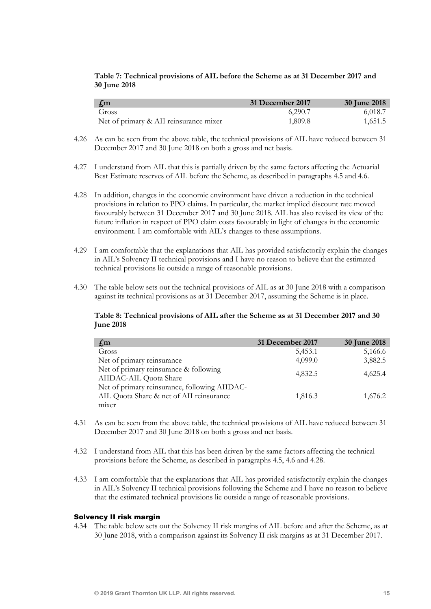## Table 7: Technical provisions of AIL before the Scheme as at 31 December 2017 and 30 June 2018

| $\int_{\mathbb{R}}$ m                  | 31 December 2017 | <b>30 June 2018</b> |
|----------------------------------------|------------------|---------------------|
| Gross                                  | 6.290.7          | 6.018.7             |
| Net of primary & AII reinsurance mixer | 1,809.8          | 1,651.5             |

- 4.26 As can be seen from the above table, the technical provisions of AIL have reduced between 31 December 2017 and 30 June 2018 on both a gross and net basis.
- 4.27 I understand from AIL that this is partially driven by the same factors affecting the Actuarial Best Estimate reserves of AIL before the Scheme, as described in paragraphs 4.5 and 4.6.
- 4.28 In addition, changes in the economic environment have driven a reduction in the technical provisions in relation to PPO claims. In particular, the market implied discount rate moved favourably between 31 December 2017 and 30 June 2018. AIL has also revised its view of the future inflation in respect of PPO claim costs favourably in light of changes in the economic environment. I am comfortable with AIL's changes to these assumptions.
- 4.29 I am comfortable that the explanations that AIL has provided satisfactorily explain the changes in AIL's Solvency II technical provisions and I have no reason to believe that the estimated technical provisions lie outside a range of reasonable provisions.
- 4.30 The table below sets out the technical provisions of AIL as at 30 June 2018 with a comparison against its technical provisions as at 31 December 2017, assuming the Scheme is in place.

#### Table 8: Technical provisions of AIL after the Scheme as at 31 December 2017 and 30 June 2018

| $f_{,m}$                                                                                           | 31 December 2017 | <b>30 June 2018</b> |
|----------------------------------------------------------------------------------------------------|------------------|---------------------|
| Gross                                                                                              | 5,453.1          | 5,166.6             |
| Net of primary reinsurance                                                                         | 4,099.0          | 3,882.5             |
| Net of primary reinsurance & following<br>AIIDAC-AIL Quota Share                                   | 4,832.5          | 4,625.4             |
| Net of primary reinsurance, following AIIDAC-<br>AIL Quota Share & net of AII reinsurance<br>mixer | 1,816.3          | 1,676.2             |

- 4.31 As can be seen from the above table, the technical provisions of AIL have reduced between 31 December 2017 and 30 June 2018 on both a gross and net basis.
- 4.32 I understand from AIL that this has been driven by the same factors affecting the technical provisions before the Scheme, as described in paragraphs 4.5, 4.6 and 4.28.
- 4.33 I am comfortable that the explanations that AIL has provided satisfactorily explain the changes in AIL's Solvency II technical provisions following the Scheme and I have no reason to believe that the estimated technical provisions lie outside a range of reasonable provisions.

#### Solvency II risk margin

4.34 The table below sets out the Solvency II risk margins of AIL before and after the Scheme, as at 30 June 2018, with a comparison against its Solvency II risk margins as at 31 December 2017.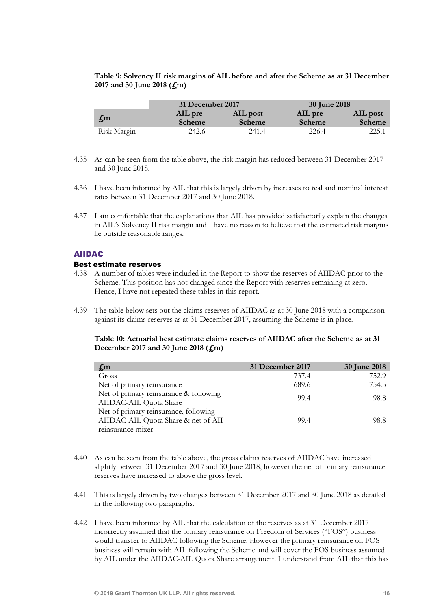Table 9: Solvency II risk margins of AIL before and after the Scheme as at 31 December 2017 and 30 June 2018 (£m)

|                       | 31 December 2017          |                     | 30 June 2018       |                     |
|-----------------------|---------------------------|---------------------|--------------------|---------------------|
| $\int_{\mathbb{R}}$ m | AIL pre-<br><b>Scheme</b> | AIL post-<br>Scheme | AIL pre-<br>Scheme | AIL post-<br>Scheme |
| Risk Margin           | 242.6                     | 241.4               | 226.4              | 225.1               |

- 4.35 As can be seen from the table above, the risk margin has reduced between 31 December 2017 and 30 June 2018.
- 4.36 I have been informed by AIL that this is largely driven by increases to real and nominal interest rates between 31 December 2017 and 30 June 2018.
- 4.37 I am comfortable that the explanations that AIL has provided satisfactorily explain the changes in AIL's Solvency II risk margin and I have no reason to believe that the estimated risk margins lie outside reasonable ranges.

### AIIDAC

### Best estimate reserves

- 4.38 A number of tables were included in the Report to show the reserves of AIIDAC prior to the Scheme. This position has not changed since the Report with reserves remaining at zero. Hence, I have not repeated these tables in this report.
- 4.39 The table below sets out the claims reserves of AIIDAC as at 30 June 2018 with a comparison against its claims reserves as at 31 December 2017, assuming the Scheme is in place.

#### Table 10: Actuarial best estimate claims reserves of AIIDAC after the Scheme as at 31 December 2017 and 30 June 2018  $(f<sub>m</sub>)$

| $f_{,m}$                                                                                          | 31 December 2017 | <b>30 June 2018</b> |
|---------------------------------------------------------------------------------------------------|------------------|---------------------|
| Gross                                                                                             | 737.4            | 752.9               |
| Net of primary reinsurance                                                                        | 689.6            | 754.5               |
| Net of primary reinsurance & following<br>AIIDAC-AIL Quota Share                                  | 99.4             | 98.8                |
| Net of primary reinsurance, following<br>AIIDAC-AIL Quota Share & net of AII<br>reinsurance mixer | 99.4             | 98.8                |

- 4.40 As can be seen from the table above, the gross claims reserves of AIIDAC have increased slightly between 31 December 2017 and 30 June 2018, however the net of primary reinsurance reserves have increased to above the gross level.
- 4.41 This is largely driven by two changes between 31 December 2017 and 30 June 2018 as detailed in the following two paragraphs.
- 4.42 I have been informed by AIL that the calculation of the reserves as at 31 December 2017 incorrectly assumed that the primary reinsurance on Freedom of Services ("FOS") business would transfer to AIIDAC following the Scheme. However the primary reinsurance on FOS business will remain with AIL following the Scheme and will cover the FOS business assumed by AIL under the AIIDAC-AIL Quota Share arrangement. I understand from AIL that this has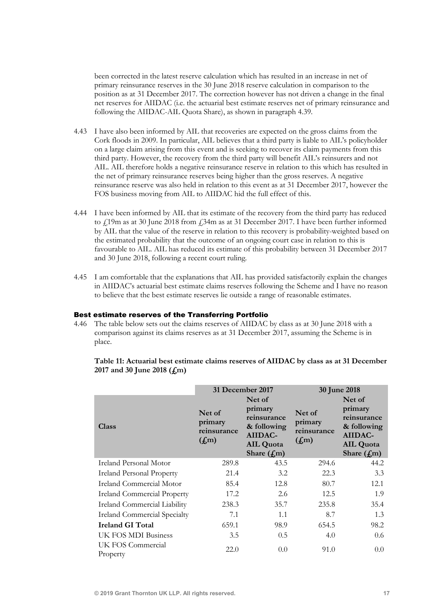been corrected in the latest reserve calculation which has resulted in an increase in net of primary reinsurance reserves in the 30 June 2018 reserve calculation in comparison to the position as at 31 December 2017. The correction however has not driven a change in the final net reserves for AIIDAC (i.e. the actuarial best estimate reserves net of primary reinsurance and following the AIIDAC-AIL Quota Share), as shown in paragraph 4.39.

- 4.43 I have also been informed by AIL that recoveries are expected on the gross claims from the Cork floods in 2009. In particular, AIL believes that a third party is liable to AIL's policyholder on a large claim arising from this event and is seeking to recover its claim payments from this third party. However, the recovery from the third party will benefit AIL's reinsurers and not AIL. AIL therefore holds a negative reinsurance reserve in relation to this which has resulted in the net of primary reinsurance reserves being higher than the gross reserves. A negative reinsurance reserve was also held in relation to this event as at 31 December 2017, however the FOS business moving from AIL to AIIDAC hid the full effect of this.
- 4.44 I have been informed by AIL that its estimate of the recovery from the third party has reduced to  $\frac{1}{19}$ m as at 30 June 2018 from  $\frac{1}{34}$ m as at 31 December 2017. I have been further informed by AIL that the value of the reserve in relation to this recovery is probability-weighted based on the estimated probability that the outcome of an ongoing court case in relation to this is favourable to AIL. AIL has reduced its estimate of this probability between 31 December 2017 and 30 June 2018, following a recent court ruling.
- 4.45 I am comfortable that the explanations that AIL has provided satisfactorily explain the changes in AIIDAC's actuarial best estimate claims reserves following the Scheme and I have no reason to believe that the best estimate reserves lie outside a range of reasonable estimates.

#### Best estimate reserves of the Transferring Portfolio

4.46 The table below sets out the claims reserves of AIIDAC by class as at 30 June 2018 with a comparison against its claims reserves as at 31 December 2017, assuming the Scheme is in place.

| Table 11: Actuarial best estimate claims reserves of AIIDAC by class as at 31 December |
|----------------------------------------------------------------------------------------|
| 2017 and 30 June 2018 $(f,m)$                                                          |

|                                     | 31 December 2017                                      |                                                                                                 | 30 June 2018                                          |                                                                                                |
|-------------------------------------|-------------------------------------------------------|-------------------------------------------------------------------------------------------------|-------------------------------------------------------|------------------------------------------------------------------------------------------------|
| Class                               | Net of<br>primary<br>reinsurance<br>(f <sub>m</sub> ) | Net of<br>primary<br>reinsurance<br>& following<br>AIIDAC-<br><b>AIL Quota</b><br>Share $(f,m)$ | Net of<br>primary<br>reinsurance<br>(f <sub>m</sub> ) | Net of<br>primary<br>reinsurance<br>& following<br>AIIDAC-<br><b>AIL Quota</b><br>Share $(fm)$ |
| Ireland Personal Motor              | 289.8                                                 | 43.5                                                                                            | 294.6                                                 | 44.2                                                                                           |
| <b>Ireland Personal Property</b>    | 21.4                                                  | 3.2                                                                                             | 22.3                                                  | 3.3                                                                                            |
| Ireland Commercial Motor            | 85.4                                                  | 12.8                                                                                            | 80.7                                                  | 12.1                                                                                           |
| <b>Ireland Commercial Property</b>  | 17.2                                                  | 2.6                                                                                             | 12.5                                                  | 1.9                                                                                            |
| Ireland Commercial Liability        | 238.3                                                 | 35.7                                                                                            | 235.8                                                 | 35.4                                                                                           |
| <b>Ireland Commercial Specialty</b> | 7.1                                                   | 1.1                                                                                             | 8.7                                                   | 1.3                                                                                            |
| <b>Ireland GI Total</b>             | 659.1                                                 | 98.9                                                                                            | 654.5                                                 | 98.2                                                                                           |
| UK FOS MDI Business                 | 3.5                                                   | 0.5                                                                                             | 4.0                                                   | 0.6                                                                                            |
| UK FOS Commercial<br>Property       | 22.0                                                  | 0.0                                                                                             | 91.0                                                  | 0.0                                                                                            |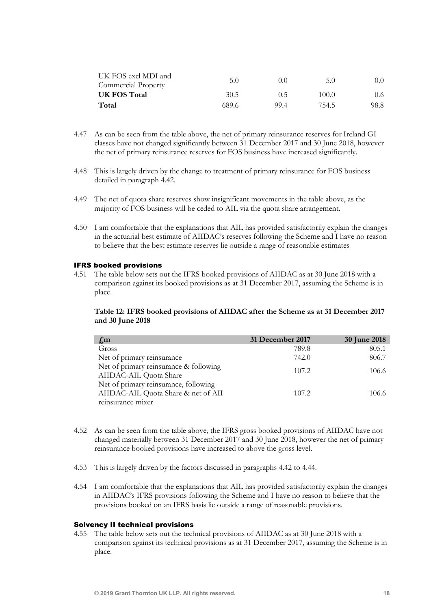| UK FOS excl MDI and | 5.0   |       | 5.0   |                  |
|---------------------|-------|-------|-------|------------------|
| Commercial Property |       | (0,0) |       | $0.0^{\circ}$    |
| <b>UK FOS Total</b> | 30.5  | (0.5) | 100.0 | 0.6 <sub>1</sub> |
| Total               | 689.6 | 99.4  | 754.5 | 98.8             |

- 4.47 As can be seen from the table above, the net of primary reinsurance reserves for Ireland GI classes have not changed significantly between 31 December 2017 and 30 June 2018, however the net of primary reinsurance reserves for FOS business have increased significantly.
- 4.48 This is largely driven by the change to treatment of primary reinsurance for FOS business detailed in paragraph 4.42.
- 4.49 The net of quota share reserves show insignificant movements in the table above, as the majority of FOS business will be ceded to AIL via the quota share arrangement.
- 4.50 I am comfortable that the explanations that AIL has provided satisfactorily explain the changes in the actuarial best estimate of AIIDAC's reserves following the Scheme and I have no reason to believe that the best estimate reserves lie outside a range of reasonable estimates

#### IFRS booked provisions

4.51 The table below sets out the IFRS booked provisions of AIIDAC as at 30 June 2018 with a comparison against its booked provisions as at 31 December 2017, assuming the Scheme is in place.

#### Table 12: IFRS booked provisions of AIIDAC after the Scheme as at 31 December 2017 and 30 June 2018

| 31 December 2017 | <b>30 June 2018</b> |
|------------------|---------------------|
| 789.8            | 805.1               |
| 742.0            | 806.7               |
| 107.2            | 106.6               |
| 107.2            | 106.6               |
|                  |                     |

- 4.52 As can be seen from the table above, the IFRS gross booked provisions of AIIDAC have not changed materially between 31 December 2017 and 30 June 2018, however the net of primary reinsurance booked provisions have increased to above the gross level.
- 4.53 This is largely driven by the factors discussed in paragraphs 4.42 to 4.44.
- 4.54 I am comfortable that the explanations that AIL has provided satisfactorily explain the changes in AIIDAC's IFRS provisions following the Scheme and I have no reason to believe that the provisions booked on an IFRS basis lie outside a range of reasonable provisions.

#### Solvency II technical provisions

4.55 The table below sets out the technical provisions of AIIDAC as at 30 June 2018 with a comparison against its technical provisions as at 31 December 2017, assuming the Scheme is in place.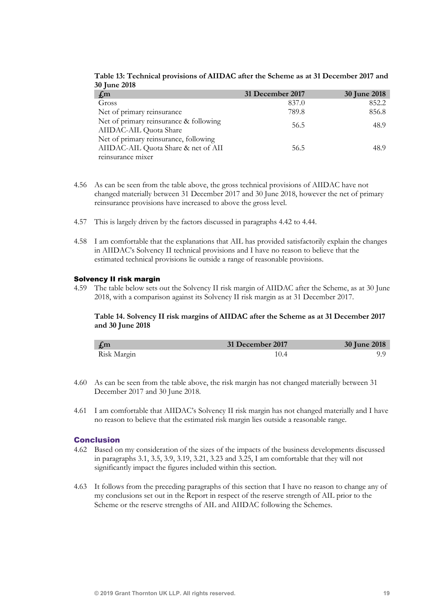| $f_{\rm m}$                                                                                       | 31 December 2017 | <b>30 June 2018</b> |
|---------------------------------------------------------------------------------------------------|------------------|---------------------|
| Gross                                                                                             | 837.0            | 852.2               |
| Net of primary reinsurance                                                                        | 789.8            | 856.8               |
| Net of primary reinsurance & following<br>AIIDAC-AIL Quota Share                                  | 56.5             | 48.9                |
| Net of primary reinsurance, following<br>AIIDAC-AIL Quota Share & net of AII<br>reinsurance mixer | 56.5             | 48.9                |

Table 13: Technical provisions of AIIDAC after the Scheme as at 31 December 2017 and 30 June 2018

- 4.56 As can be seen from the table above, the gross technical provisions of AIIDAC have not changed materially between 31 December 2017 and 30 June 2018, however the net of primary reinsurance provisions have increased to above the gross level.
- 4.57 This is largely driven by the factors discussed in paragraphs 4.42 to 4.44.
- 4.58 I am comfortable that the explanations that AIL has provided satisfactorily explain the changes in AIIDAC's Solvency II technical provisions and I have no reason to believe that the estimated technical provisions lie outside a range of reasonable provisions.

#### Solvency II risk margin

4.59 The table below sets out the Solvency II risk margin of AIIDAC after the Scheme, as at 30 June 2018, with a comparison against its Solvency II risk margin as at 31 December 2017.

### Table 14. Solvency II risk margins of AIIDAC after the Scheme as at 31 December 2017 and 30 June 2018

| $\int_{\mathbb{R}}$ m | 31 December 2017 | 30 June 2018 |
|-----------------------|------------------|--------------|
| Risk Margin           |                  |              |

- 4.60 As can be seen from the table above, the risk margin has not changed materially between 31 December 2017 and 30 June 2018.
- 4.61 I am comfortable that AIIDAC's Solvency II risk margin has not changed materially and I have no reason to believe that the estimated risk margin lies outside a reasonable range.

#### Conclusion

- 4.62 Based on my consideration of the sizes of the impacts of the business developments discussed in paragraphs 3.1, 3.5, 3.9, 3.19, 3.21, 3.23 and 3.25, I am comfortable that they will not significantly impact the figures included within this section.
- 4.63 It follows from the preceding paragraphs of this section that I have no reason to change any of my conclusions set out in the Report in respect of the reserve strength of AIL prior to the Scheme or the reserve strengths of AIL and AIIDAC following the Schemes.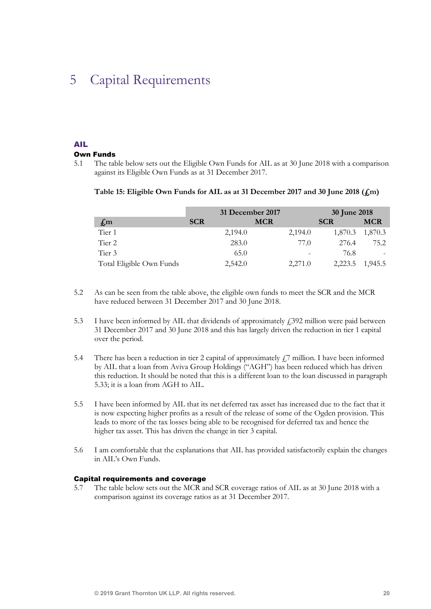## 5 Capital Requirements

#### AIL

#### Own Funds

5.1 The table below sets out the Eligible Own Funds for AIL as at 30 June 2018 with a comparison against its Eligible Own Funds as at 31 December 2017.

#### Table 15: Eligible Own Funds for AIL as at 31 December 2017 and 30 June 2018 (£m)

|                           | 31 December 2017 |                          | <b>30 June 2018</b> |            |
|---------------------------|------------------|--------------------------|---------------------|------------|
| $\mathbf{f}_{\mathbf{m}}$ | <b>SCR</b>       | <b>MCR</b>               | <b>SCR</b>          | <b>MCR</b> |
| Tier 1                    | 2,194.0          | 2,194.0                  | 1,870.3             | 1,870.3    |
| Tier 2                    | 283.0            | 77.0                     | 276.4               | 75.2       |
| Tier 3                    | 65.0             | $\overline{\phantom{0}}$ | 76.8                |            |
| Total Eligible Own Funds  | 2,542.0          | 2,271.0                  | 2,223.5             | 1,945.5    |

- 5.2 As can be seen from the table above, the eligible own funds to meet the SCR and the MCR have reduced between 31 December 2017 and 30 June 2018.
- 5.3 I have been informed by AIL that dividends of approximately  $\angle$  4.392 million were paid between 31 December 2017 and 30 June 2018 and this has largely driven the reduction in tier 1 capital over the period.
- 5.4 There has been a reduction in tier 2 capital of approximately  $\mathcal{L}$ 7 million. I have been informed by AIL that a loan from Aviva Group Holdings ("AGH") has been reduced which has driven this reduction. It should be noted that this is a different loan to the loan discussed in paragraph 5.33; it is a loan from AGH to AIL.
- 5.5 I have been informed by AIL that its net deferred tax asset has increased due to the fact that it is now expecting higher profits as a result of the release of some of the Ogden provision. This leads to more of the tax losses being able to be recognised for deferred tax and hence the higher tax asset. This has driven the change in tier 3 capital.
- 5.6 I am comfortable that the explanations that AIL has provided satisfactorily explain the changes in AIL's Own Funds.

#### Capital requirements and coverage

5.7 The table below sets out the MCR and SCR coverage ratios of AIL as at 30 June 2018 with a comparison against its coverage ratios as at 31 December 2017.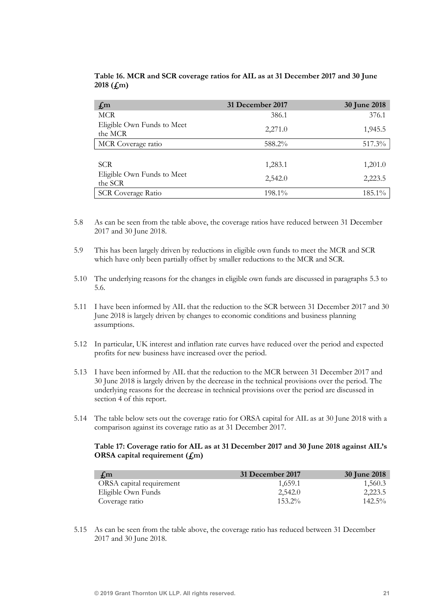| $f_{,m}$                              | 31 December 2017 | 30 June 2018 |
|---------------------------------------|------------------|--------------|
| <b>MCR</b>                            | 386.1            | 376.1        |
| Eligible Own Funds to Meet<br>the MCR | 2,271.0          | 1,945.5      |
| MCR Coverage ratio                    | 588.2%           | 517.3%       |
|                                       |                  |              |
| <b>SCR</b>                            | 1,283.1          | 1,201.0      |
| Eligible Own Funds to Meet<br>the SCR | 2,542.0          | 2,223.5      |
| <b>SCR Coverage Ratio</b>             | 198.1%           | 185.1%       |

Table 16. MCR and SCR coverage ratios for AIL as at 31 December 2017 and 30 June 2018 (£m)

- 5.8 As can be seen from the table above, the coverage ratios have reduced between 31 December 2017 and 30 June 2018.
- 5.9 This has been largely driven by reductions in eligible own funds to meet the MCR and SCR which have only been partially offset by smaller reductions to the MCR and SCR.
- 5.10 The underlying reasons for the changes in eligible own funds are discussed in paragraphs 5.3 to 5.6.
- 5.11 I have been informed by AIL that the reduction to the SCR between 31 December 2017 and 30 June 2018 is largely driven by changes to economic conditions and business planning assumptions.
- 5.12 In particular, UK interest and inflation rate curves have reduced over the period and expected profits for new business have increased over the period.
- 5.13 I have been informed by AIL that the reduction to the MCR between 31 December 2017 and 30 June 2018 is largely driven by the decrease in the technical provisions over the period. The underlying reasons for the decrease in technical provisions over the period are discussed in section 4 of this report.
- 5.14 The table below sets out the coverage ratio for ORSA capital for AIL as at 30 June 2018 with a comparison against its coverage ratio as at 31 December 2017.

### Table 17: Coverage ratio for AIL as at 31 December 2017 and 30 June 2018 against AIL's ORSA capital requirement  $(f<sub>m</sub>)$

| $\mathbf{f}$ , m         | 31 December 2017 | 30 June 2018 |
|--------------------------|------------------|--------------|
| ORSA capital requirement | 1,659.1          | 1,560.3      |
| Eligible Own Funds       | 2,542.0          | 2,223.5      |
| Coverage ratio           | $153.2\%$        | $142.5\%$    |

5.15 As can be seen from the table above, the coverage ratio has reduced between 31 December 2017 and 30 June 2018.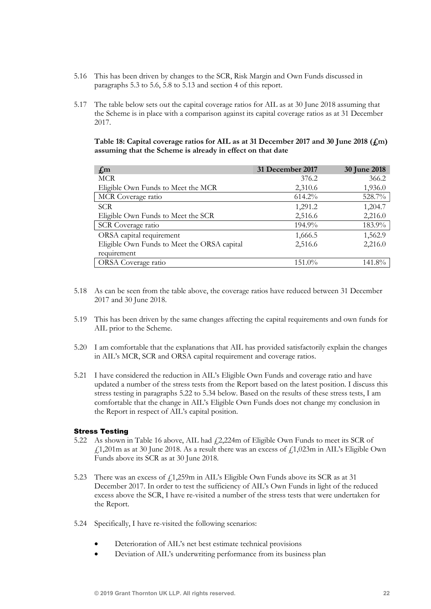- 5.16 This has been driven by changes to the SCR, Risk Margin and Own Funds discussed in paragraphs 5.3 to 5.6, 5.8 to 5.13 and section 4 of this report.
- 5.17 The table below sets out the capital coverage ratios for AIL as at 30 June 2018 assuming that the Scheme is in place with a comparison against its capital coverage ratios as at 31 December 2017.

Table 18: Capital coverage ratios for AIL as at 31 December 2017 and 30 June 2018 (£m) assuming that the Scheme is already in effect on that date

| $f_{,m}$                                    | 31 December 2017 | <b>30 June 2018</b> |
|---------------------------------------------|------------------|---------------------|
| <b>MCR</b>                                  | 376.2            | 366.2               |
| Eligible Own Funds to Meet the MCR          | 2,310.6          | 1,936.0             |
| MCR Coverage ratio                          | $614.2\%$        | 528.7%              |
| <b>SCR</b>                                  | 1,291.2          | 1,204.7             |
| Eligible Own Funds to Meet the SCR          | 2,516.6          | 2,216.0             |
| SCR Coverage ratio                          | 194.9%           | 183.9%              |
| ORSA capital requirement                    | 1,666.5          | 1,562.9             |
| Eligible Own Funds to Meet the ORSA capital | 2,516.6          | 2,216.0             |
| requirement                                 |                  |                     |
| ORSA Coverage ratio                         | 151.0%           | 141.8%              |

- 5.18 As can be seen from the table above, the coverage ratios have reduced between 31 December 2017 and 30 June 2018.
- 5.19 This has been driven by the same changes affecting the capital requirements and own funds for AIL prior to the Scheme.
- 5.20 I am comfortable that the explanations that AIL has provided satisfactorily explain the changes in AIL's MCR, SCR and ORSA capital requirement and coverage ratios.
- 5.21 I have considered the reduction in AIL's Eligible Own Funds and coverage ratio and have updated a number of the stress tests from the Report based on the latest position. I discuss this stress testing in paragraphs 5.22 to 5.34 below. Based on the results of these stress tests, I am comfortable that the change in AIL's Eligible Own Funds does not change my conclusion in the Report in respect of AIL's capital position.

#### Stress Testing

- 5.22 As shown in Table 16 above, AIL had  $\angle 2224$  m of Eligible Own Funds to meet its SCR of  $\text{\emph{f}}1,201\text{m}$  as at 30 June 2018. As a result there was an excess of  $\text{\emph{f}}1,023\text{m}$  in AIL's Eligible Own Funds above its SCR as at 30 June 2018.
- 5.23 There was an excess of  $f_1$ , 259m in AIL's Eligible Own Funds above its SCR as at 31 December 2017. In order to test the sufficiency of AIL's Own Funds in light of the reduced excess above the SCR, I have re-visited a number of the stress tests that were undertaken for the Report.
- 5.24 Specifically, I have re-visited the following scenarios:
	- Deterioration of AIL's net best estimate technical provisions
	- Deviation of AIL's underwriting performance from its business plan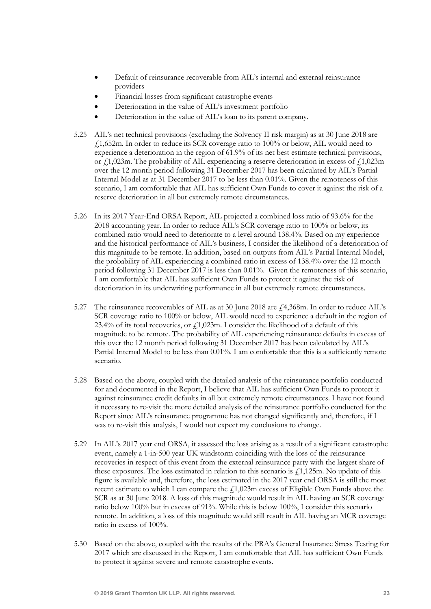- Default of reinsurance recoverable from AIL's internal and external reinsurance providers
- Financial losses from significant catastrophe events
- Deterioration in the value of AIL's investment portfolio
- Deterioration in the value of AIL's loan to its parent company.
- 5.25 AIL's net technical provisions (excluding the Solvency II risk margin) as at 30 June 2018 are £1,652m. In order to reduce its SCR coverage ratio to 100% or below, AIL would need to experience a deterioration in the region of 61.9% of its net best estimate technical provisions, or  $\ell$ 1,023m. The probability of AIL experiencing a reserve deterioration in excess of  $\ell$ 1,023m over the 12 month period following 31 December 2017 has been calculated by AIL's Partial Internal Model as at 31 December 2017 to be less than 0.01%. Given the remoteness of this scenario, I am comfortable that AIL has sufficient Own Funds to cover it against the risk of a reserve deterioration in all but extremely remote circumstances.
- 5.26 In its 2017 Year-End ORSA Report, AIL projected a combined loss ratio of 93.6% for the 2018 accounting year. In order to reduce AIL's SCR coverage ratio to 100% or below, its combined ratio would need to deteriorate to a level around 138.4%. Based on my experience and the historical performance of AIL's business, I consider the likelihood of a deterioration of this magnitude to be remote. In addition, based on outputs from AIL's Partial Internal Model, the probability of AIL experiencing a combined ratio in excess of 138.4% over the 12 month period following 31 December 2017 is less than 0.01%. Given the remoteness of this scenario, I am comfortable that AIL has sufficient Own Funds to protect it against the risk of deterioration in its underwriting performance in all but extremely remote circumstances.
- 5.27 The reinsurance recoverables of AIL as at 30 June 2018 are  $\text{\textsterling}4,368\text{m}$ . In order to reduce AIL's SCR coverage ratio to 100% or below, AIL would need to experience a default in the region of 23.4% of its total recoveries, or  $f_1$ 1,023m. I consider the likelihood of a default of this magnitude to be remote. The probability of AIL experiencing reinsurance defaults in excess of this over the 12 month period following 31 December 2017 has been calculated by AIL's Partial Internal Model to be less than 0.01%. I am comfortable that this is a sufficiently remote scenario.
- 5.28 Based on the above, coupled with the detailed analysis of the reinsurance portfolio conducted for and documented in the Report, I believe that AIL has sufficient Own Funds to protect it against reinsurance credit defaults in all but extremely remote circumstances. I have not found it necessary to re-visit the more detailed analysis of the reinsurance portfolio conducted for the Report since AIL's reinsurance programme has not changed significantly and, therefore, if I was to re-visit this analysis, I would not expect my conclusions to change.
- 5.29 In AIL's 2017 year end ORSA, it assessed the loss arising as a result of a significant catastrophe event, namely a 1-in-500 year UK windstorm coinciding with the loss of the reinsurance recoveries in respect of this event from the external reinsurance party with the largest share of these exposures. The loss estimated in relation to this scenario is  $\ell$ 1,125m. No update of this figure is available and, therefore, the loss estimated in the 2017 year end ORSA is still the most recent estimate to which I can compare the  $f1,023$ m excess of Eligible Own Funds above the SCR as at 30 June 2018. A loss of this magnitude would result in AIL having an SCR coverage ratio below 100% but in excess of 91%. While this is below 100%, I consider this scenario remote. In addition, a loss of this magnitude would still result in AIL having an MCR coverage ratio in excess of 100%.
- 5.30 Based on the above, coupled with the results of the PRA's General Insurance Stress Testing for 2017 which are discussed in the Report, I am comfortable that AIL has sufficient Own Funds to protect it against severe and remote catastrophe events.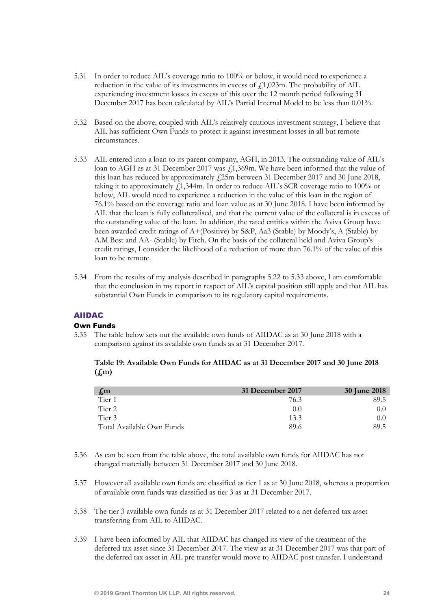- 5.31 In order to reduce AIL's coverage ratio to 100% or below, it would need to experience a reduction in the value of its investments in excess of  $f$ , 1,023m. The probability of AIL experiencing investment losses in excess of this over the 12 month period following 31 December 2017 has been calculated by AIL's Partial Internal Model to be less than 0.01%.
- 5.32 Based on the above, coupled with AIL's relatively cautious investment strategy, I believe that AIL has sufficient Own Funds to protect it against investment losses in all but remote circumstances.
- 5.33 AIL entered into a loan to its parent company, AGH, in 2013. The outstanding value of AIL's loan to AGH as at 31 December 2017 was  $f_1$ ,369m. We have been informed that the value of this loan has reduced by approximately  $f<sub>1</sub>25m$  between 31 December 2017 and 30 June 2018, taking it to approximately  $f1,344$ m. In order to reduce AIL's SCR coverage ratio to 100% or below, AIL would need to experience a reduction in the value of this loan in the region of 76.1% based on the coverage ratio and loan value as at 30 June 2018. I have been informed by AIL that the loan is fully collateralised, and that the current value of the collateral is in excess of the outstanding value of the loan. In addition, the rated entities within the Aviva Group have been awarded credit ratings of A+(Positive) by S&P, Aa3 (Stable) by Moody's, A (Stable) by A.M.Best and AA- (Stable) by Fitch. On the basis of the collateral held and Aviva Group's credit ratings, I consider the likelihood of a reduction of more than 76.1% of the value of this loan to be remote.
- 5.34 From the results of my analysis described in paragraphs 5.22 to 5.33 above, I am comfortable that the conclusion in my report in respect of AIL's capital position still apply and that AIL has substantial Own Funds in comparison to its regulatory capital requirements.

## AIIDAC

## Own Funds

5.35 The table below sets out the available own funds of AIIDAC as at 30 June 2018 with a comparison against its available own funds as at 31 December 2017.

Table 19: Available Own Funds for AIIDAC as at 31 December 2017 and 30 June 2018  $(f<sub>m</sub>)$ 

| $\mathbf{f}_{\mathbf{m}}$ | 31 December 2017 | <b>30 June 2018</b> |
|---------------------------|------------------|---------------------|
| Tier 1                    | 76.3             | 89.5                |
| Tier 2                    | (0,0)            | (0,0)               |
| Tier 3                    | 13.3             | (0,0)               |
| Total Available Own Funds | 89.6             | 89.5                |

- 5.36 As can be seen from the table above, the total available own funds for AIIDAC has not changed materially between 31 December 2017 and 30 June 2018.
- 5.37 However all available own funds are classified as tier 1 as at 30 June 2018, whereas a proportion of available own funds was classified as tier 3 as at 31 December 2017.
- 5.38 The tier 3 available own funds as at 31 December 2017 related to a net deferred tax asset transferring from AIL to AIIDAC.
- 5.39 I have been informed by AIL that AIIDAC has changed its view of the treatment of the deferred tax asset since 31 December 2017. The view as at 31 December 2017 was that part of the deferred tax asset in AIL pre transfer would move to AIIDAC post transfer. I understand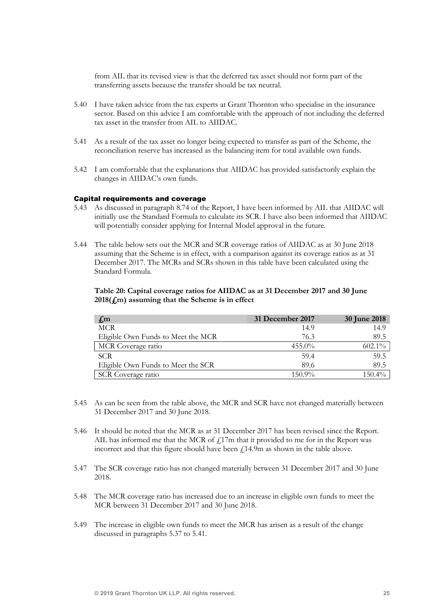from AIL that its revised view is that the deferred tax asset should not form part of the transferring assets because the transfer should be tax neutral.

- 5.40 I have taken advice from the tax experts at Grant Thornton who specialise in the insurance sector. Based on this advice I am comfortable with the approach of not including the deferred tax asset in the transfer from AIL to AIIDAC.
- 5.41 As a result of the tax asset no longer being expected to transfer as part of the Scheme, the reconciliation reserve has increased as the balancing item for total available own funds.
- 5.42 I am comfortable that the explanations that AIIDAC has provided satisfactorily explain the changes in AIIDAC's own funds.

#### Capital requirements and coverage

- 5.43 As discussed in paragraph 8.74 of the Report, I have been informed by AIL that AIIDAC will initially use the Standard Formula to calculate its SCR. I have also been informed that AIIDAC will potentially consider applying for Internal Model approval in the future.
- 5.44 The table below sets out the MCR and SCR coverage ratios of AIIDAC as at 30 June 2018 assuming that the Scheme is in effect, with a comparison against its coverage ratios as at 31 December 2017. The MCRs and SCRs shown in this table have been calculated using the Standard Formula.

## Table 20: Capital coverage ratios for AIIDAC as at 31 December 2017 and 30 June  $2018(f,m)$  assuming that the Scheme is in effect

| $f_{,m}$                           | 31 December 2017 | <b>30 June 2018</b> |
|------------------------------------|------------------|---------------------|
| <b>MCR</b>                         | 14.9             | 14.9                |
| Eligible Own Funds to Meet the MCR | 76.3             | 89.5                |
| MCR Coverage ratio                 | $455.0\%$        | $602.1\%$           |
| <b>SCR</b>                         | 59.4             | 59.5                |
| Eligible Own Funds to Meet the SCR | 89.6             | 89.5                |
| <b>SCR</b> Coverage ratio          | $150.9\%$        | $150.4\%$           |

- 5.45 As can be seen from the table above, the MCR and SCR have not changed materially between 31 December 2017 and 30 June 2018.
- 5.46 It should be noted that the MCR as at 31 December 2017 has been revised since the Report. AIL has informed me that the MCR of  $f17m$  that it provided to me for in the Report was incorrect and that this figure should have been  $\ell$ 14.9m as shown in the table above.
- 5.47 The SCR coverage ratio has not changed materially between 31 December 2017 and 30 June 2018.
- 5.48 The MCR coverage ratio has increased due to an increase in eligible own funds to meet the MCR between 31 December 2017 and 30 June 2018.
- 5.49 The increase in eligible own funds to meet the MCR has arisen as a result of the change discussed in paragraphs 5.37 to 5.41.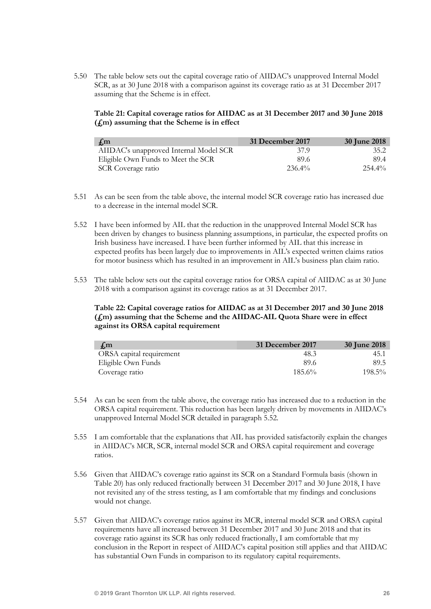5.50 The table below sets out the capital coverage ratio of AIIDAC's unapproved Internal Model SCR, as at 30 June 2018 with a comparison against its coverage ratio as at 31 December 2017 assuming that the Scheme is in effect.

Table 21: Capital coverage ratios for AIIDAC as at 31 December 2017 and 30 June 2018  $(f<sub>m</sub>)$  assuming that the Scheme is in effect

| $\mathcal{L}$ m                        | 31 December 2017 | 30 June 2018 |
|----------------------------------------|------------------|--------------|
| AIIDAC's unapproved Internal Model SCR | 37 9             | 35.2         |
| Eligible Own Funds to Meet the SCR     | 89.6             | 89.4         |
| SCR Coverage ratio                     | $236.4\%$        | $254.4\%$    |

- 5.51 As can be seen from the table above, the internal model SCR coverage ratio has increased due to a decrease in the internal model SCR.
- 5.52 I have been informed by AIL that the reduction in the unapproved Internal Model SCR has been driven by changes to business planning assumptions, in particular, the expected profits on Irish business have increased. I have been further informed by AIL that this increase in expected profits has been largely due to improvements in AIL's expected written claims ratios for motor business which has resulted in an improvement in AIL's business plan claim ratio.
- 5.53 The table below sets out the capital coverage ratios for ORSA capital of AIIDAC as at 30 June 2018 with a comparison against its coverage ratios as at 31 December 2017.

## Table 22: Capital coverage ratios for AIIDAC as at 31 December 2017 and 30 June 2018 (£m) assuming that the Scheme and the AIIDAC-AIL Quota Share were in effect against its ORSA capital requirement

| $\pm$ m                  | 31 December 2017 | 30 June 2018 |
|--------------------------|------------------|--------------|
| ORSA capital requirement | 48.3             | 45.1         |
| Eligible Own Funds       | 89.6             | 89.5         |
| Coverage ratio           | $185.6\%$        | $198.5\%$    |

- 5.54 As can be seen from the table above, the coverage ratio has increased due to a reduction in the ORSA capital requirement. This reduction has been largely driven by movements in AIIDAC's unapproved Internal Model SCR detailed in paragraph 5.52.
- 5.55 I am comfortable that the explanations that AIL has provided satisfactorily explain the changes in AIIDAC's MCR, SCR, internal model SCR and ORSA capital requirement and coverage ratios.
- 5.56 Given that AIIDAC's coverage ratio against its SCR on a Standard Formula basis (shown in Table 20) has only reduced fractionally between 31 December 2017 and 30 June 2018, I have not revisited any of the stress testing, as I am comfortable that my findings and conclusions would not change.
- 5.57 Given that AIIDAC's coverage ratios against its MCR, internal model SCR and ORSA capital requirements have all increased between 31 December 2017 and 30 June 2018 and that its coverage ratio against its SCR has only reduced fractionally, I am comfortable that my conclusion in the Report in respect of AIIDAC's capital position still applies and that AIIDAC has substantial Own Funds in comparison to its regulatory capital requirements.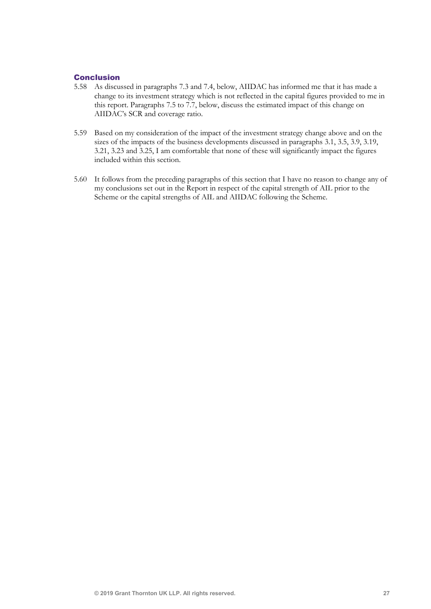## Conclusion

- 5.58 As discussed in paragraphs 7.3 and 7.4, below, AIIDAC has informed me that it has made a change to its investment strategy which is not reflected in the capital figures provided to me in this report. Paragraphs 7.5 to 7.7, below, discuss the estimated impact of this change on AIIDAC's SCR and coverage ratio.
- 5.59 Based on my consideration of the impact of the investment strategy change above and on the sizes of the impacts of the business developments discussed in paragraphs 3.1, 3.5, 3.9, 3.19, 3.21, 3.23 and 3.25, I am comfortable that none of these will significantly impact the figures included within this section.
- 5.60 It follows from the preceding paragraphs of this section that I have no reason to change any of my conclusions set out in the Report in respect of the capital strength of AIL prior to the Scheme or the capital strengths of AIL and AIIDAC following the Scheme.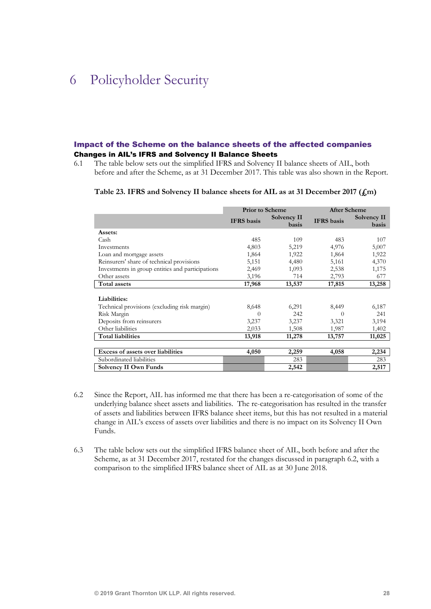## 6 Policyholder Security

## Impact of the Scheme on the balance sheets of the affected companies Changes in AIL's IFRS and Solvency II Balance Sheets

6.1 The table below sets out the simplified IFRS and Solvency II balance sheets of AIL, both before and after the Scheme, as at 31 December 2017. This table was also shown in the Report.

#### Table 23. IFRS and Solvency II balance sheets for AIL as at 31 December 2017 (£m)

|                                                  | <b>Prior to Scheme</b> |                      | <b>After Scheme</b> |                      |
|--------------------------------------------------|------------------------|----------------------|---------------------|----------------------|
|                                                  | <b>IFRS</b> basis      | Solvency II<br>basis | <b>IFRS</b> basis   | Solvency II<br>basis |
| Assets:                                          |                        |                      |                     |                      |
| Cash                                             | 485                    | 109                  | 483                 | 107                  |
| Investments                                      | 4,803                  | 5,219                | 4,976               | 5,007                |
| Loan and mortgage assets                         | 1,864                  | 1,922                | 1,864               | 1,922                |
| Reinsurers' share of technical provisions        | 5,151                  | 4,480                | 5,161               | 4,370                |
| Investments in group entities and participations | 2,469                  | 1,093                | 2,538               | 1,175                |
| Other assets                                     | 3,196                  | 714                  | 2,793               | 677                  |
| <b>Total assets</b>                              | 17,968                 | 13,537               | 17,815              | 13,258               |
| Liabilities:                                     |                        |                      |                     |                      |
| Technical provisions (excluding risk margin)     | 8,648                  | 6,291                | 8,449               | 6,187                |
| Risk Margin                                      | $\Omega$               | 242                  | 0                   | 241                  |
| Deposits from reinsurers                         | 3,237                  | 3,237                | 3,321               | 3,194                |
| Other liabilities                                | 2,033                  | 1,508                | 1,987               | 1,402                |
| <b>Total liabilities</b>                         | 13,918                 | 11,278               | 13,757              | 11,025               |
|                                                  |                        |                      |                     |                      |
| Excess of assets over liabilities                | 4,050                  | 2,259                | 4,058               | 2,234                |
| Subordinated liabilities                         |                        | 283                  |                     | 283                  |
| <b>Solvency II Own Funds</b>                     |                        | 2,542                |                     | 2,517                |

- 6.2 Since the Report, AIL has informed me that there has been a re-categorisation of some of the underlying balance sheet assets and liabilities. The re-categorisation has resulted in the transfer of assets and liabilities between IFRS balance sheet items, but this has not resulted in a material change in AIL's excess of assets over liabilities and there is no impact on its Solvency II Own Funds.
- 6.3 The table below sets out the simplified IFRS balance sheet of AIL, both before and after the Scheme, as at 31 December 2017, restated for the changes discussed in paragraph 6.2, with a comparison to the simplified IFRS balance sheet of AIL as at 30 June 2018.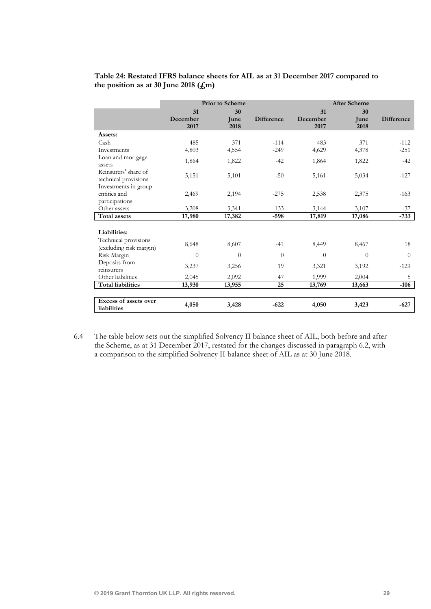## Table 24: Restated IFRS balance sheets for AIL as at 31 December 2017 compared to the position as at 30 June 2018  $(f_m)$

|                                                 |                  | <b>Prior</b> to Scheme |                   |                  | <b>After Scheme</b> |                   |
|-------------------------------------------------|------------------|------------------------|-------------------|------------------|---------------------|-------------------|
|                                                 | 31               | 30                     |                   | 31               | 30                  |                   |
|                                                 | December<br>2017 | June<br>2018           | <b>Difference</b> | December<br>2017 | June<br>2018        | <b>Difference</b> |
| Assets:                                         |                  |                        |                   |                  |                     |                   |
| Cash                                            | 485              | 371                    | $-114$            | 483              | 371                 | $-112$            |
| Investments                                     | 4,803            | 4,554                  | $-249$            | 4,629            | 4,378               | $-251$            |
| Loan and mortgage<br>assets                     | 1,864            | 1,822                  | $-42$             | 1,864            | 1,822               | $-42$             |
| Reinsurers' share of<br>technical provisions    | 5,151            | 5,101                  | $-50$             | 5,161            | 5,034               | $-127$            |
| Investments in group                            |                  |                        |                   |                  |                     |                   |
| entities and                                    | 2,469            | 2,194                  | $-275$            | 2,538            | 2,375               | $-163$            |
| participations                                  |                  |                        |                   |                  |                     |                   |
| Other assets                                    | 3,208            | 3,341                  | 133               | 3,144            | 3,107               | $-37$             |
| Total assets                                    | 17,980           | 17,382                 | $-598$            | 17,819           | 17,086              | $-733$            |
| Liabilities:                                    |                  |                        |                   |                  |                     |                   |
| Technical provisions<br>(excluding risk margin) | 8,648            | 8,607                  | $-41$             | 8,449            | 8,467               | 18                |
| Risk Margin                                     | $\overline{0}$   | $\overline{0}$         | $\theta$          | $\Omega$         | $\Omega$            | $\Omega$          |
| Deposits from<br>reinsurers                     | 3,237            | 3,256                  | 19                | 3,321            | 3,192               | $-129$            |
| Other liabilities                               | 2,045            | 2,092                  | 47                | 1,999            | 2,004               | 5                 |
| <b>Total liabilities</b>                        | 13,930           | 13,955                 | 25                | 13,769           | 13,663              | $-106$            |
|                                                 |                  |                        |                   |                  |                     |                   |
| Excess of assets over<br>liabilities            | 4,050            | 3,428                  | $-622$            | 4,050            | 3,423               | $-627$            |

6.4 The table below sets out the simplified Solvency II balance sheet of AIL, both before and after the Scheme, as at 31 December 2017, restated for the changes discussed in paragraph 6.2, with a comparison to the simplified Solvency II balance sheet of AIL as at 30 June 2018.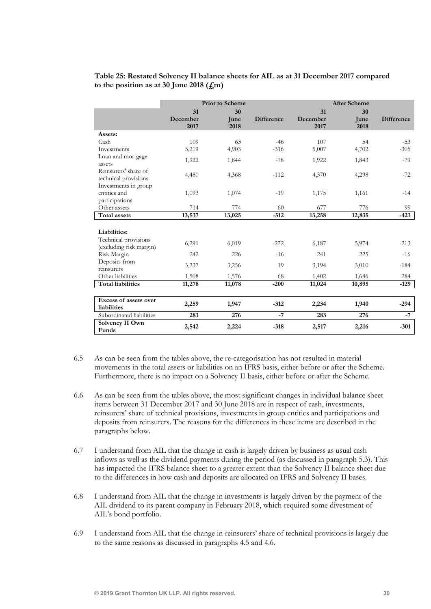## Table 25: Restated Solvency II balance sheets for AIL as at 31 December 2017 compared to the position as at 30 June 2018  $(f<sub>m</sub>)$

|                                                                                | <b>Prior to Scheme</b> |                    |                   | <b>After Scheme</b>    |                    |                   |
|--------------------------------------------------------------------------------|------------------------|--------------------|-------------------|------------------------|--------------------|-------------------|
|                                                                                | 31<br>December<br>2017 | 30<br>June<br>2018 | <b>Difference</b> | 31<br>December<br>2017 | 30<br>June<br>2018 | <b>Difference</b> |
| Assets:                                                                        |                        |                    |                   |                        |                    |                   |
| Cash<br>Investments                                                            | 109<br>5,219           | 63<br>4,903        | $-46$<br>$-316$   | 107<br>5,007           | 54<br>4,702        | $-53$<br>$-305$   |
| Loan and mortgage<br>assets                                                    | 1,922                  | 1,844              | $-78$             | 1,922                  | 1,843              | $-79$             |
| Reinsurers' share of<br>technical provisions<br>Investments in group           | 4,480                  | 4,368              | $-112$            | 4,370                  | 4,298              | $-72$             |
| entities and<br>participations                                                 | 1,093                  | 1,074              | $-19$             | 1,175                  | 1,161              | $-14$             |
| Other assets                                                                   | 714                    | 774                | 60                | 677                    | 776                | 99                |
| <b>Total assets</b>                                                            | 13,537                 | 13,025             | $-512$            | 13,258                 | 12,835             | $-423$            |
| Liabilities:<br>Technical provisions<br>(excluding risk margin)<br>Risk Margin | 6,291<br>242           | 6,019<br>226       | $-272$<br>$-16$   | 6,187<br>241           | 5,974<br>225       | $-213$<br>$-16$   |
| Deposits from<br>reinsurers                                                    | 3,237                  | 3,256              | 19                | 3,194                  | 3,010              | $-184$            |
| Other liabilities                                                              | 1,508                  | 1,576              | 68                | 1,402                  | 1,686              | 284               |
| <b>Total liabilities</b>                                                       | 11,278                 | 11,078             | $-200$            | 11,024                 | 10,895             | $-129$            |
| Excess of assets over<br>liabilities                                           | 2,259                  | 1,947              | $-312$            | 2,234                  | 1,940              | $-294$            |
| Subordinated liabilities                                                       | 283                    | 276                | $-7$              | 283                    | 276                | $-7$              |
| Solvency II Own<br>Funds                                                       | 2,542                  | 2,224              | $-318$            | 2,517                  | 2,216              | $-301$            |

- 6.5 As can be seen from the tables above, the re-categorisation has not resulted in material movements in the total assets or liabilities on an IFRS basis, either before or after the Scheme. Furthermore, there is no impact on a Solvency II basis, either before or after the Scheme.
- 6.6 As can be seen from the tables above, the most significant changes in individual balance sheet items between 31 December 2017 and 30 June 2018 are in respect of cash, investments, reinsurers' share of technical provisions, investments in group entities and participations and deposits from reinsurers. The reasons for the differences in these items are described in the paragraphs below.
- 6.7 I understand from AIL that the change in cash is largely driven by business as usual cash inflows as well as the dividend payments during the period (as discussed in paragraph 5.3). This has impacted the IFRS balance sheet to a greater extent than the Solvency II balance sheet due to the differences in how cash and deposits are allocated on IFRS and Solvency II bases.
- 6.8 I understand from AIL that the change in investments is largely driven by the payment of the AIL dividend to its parent company in February 2018, which required some divestment of AIL's bond portfolio.
- 6.9 I understand from AIL that the change in reinsurers' share of technical provisions is largely due to the same reasons as discussed in paragraphs 4.5 and 4.6.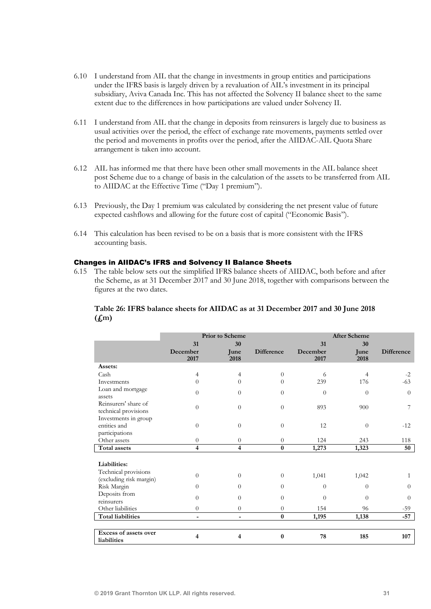- 6.10 I understand from AIL that the change in investments in group entities and participations under the IFRS basis is largely driven by a revaluation of AIL's investment in its principal subsidiary, Aviva Canada Inc. This has not affected the Solvency II balance sheet to the same extent due to the differences in how participations are valued under Solvency II.
- 6.11 I understand from AIL that the change in deposits from reinsurers is largely due to business as usual activities over the period, the effect of exchange rate movements, payments settled over the period and movements in profits over the period, after the AIIDAC-AIL Quota Share arrangement is taken into account.
- 6.12 AIL has informed me that there have been other small movements in the AIL balance sheet post Scheme due to a change of basis in the calculation of the assets to be transferred from AIL to AIIDAC at the Effective Time ("Day 1 premium").
- 6.13 Previously, the Day 1 premium was calculated by considering the net present value of future expected cashflows and allowing for the future cost of capital ("Economic Basis").
- 6.14 This calculation has been revised to be on a basis that is more consistent with the IFRS accounting basis.

#### Changes in AIIDAC's IFRS and Solvency II Balance Sheets

6.15 The table below sets out the simplified IFRS balance sheets of AIIDAC, both before and after the Scheme, as at 31 December 2017 and 30 June 2018, together with comparisons between the figures at the two dates.

## Table 26: IFRS balance sheets for AIIDAC as at 31 December 2017 and 30 June 2018  $(f<sub>m</sub>)$

|                                                 |                  | <b>Prior</b> to Scheme   |                   |                  | <b>After Scheme</b> |                   |
|-------------------------------------------------|------------------|--------------------------|-------------------|------------------|---------------------|-------------------|
|                                                 | 31               | 30                       |                   | 31               | 30                  |                   |
|                                                 | December<br>2017 | June<br>2018             | <b>Difference</b> | December<br>2017 | June<br>2018        | <b>Difference</b> |
| Assets:                                         |                  |                          |                   |                  |                     |                   |
| Cash                                            | 4                | 4                        | $\theta$          | 6                | $\overline{4}$      | $-2$              |
| Investments                                     | 0                | 0                        | 0                 | 239              | 176                 | $-63$             |
| Loan and mortgage<br>assets                     | $\Omega$         | $\Omega$                 | $\Omega$          | $\theta$         | $\Omega$            | $\Omega$          |
| Reinsurers' share of<br>technical provisions    | $\Omega$         | $\Omega$                 | $\Omega$          | 893              | 900                 | 7                 |
| Investments in group<br>entities and            | $\Omega$         | $\Omega$                 | $\Omega$          | 12               | $\Omega$            | $-12$             |
| participations                                  |                  |                          |                   |                  |                     |                   |
| Other assets                                    | $\Omega$         | $\Omega$                 | $\theta$          | 124              | 243                 | 118               |
| Total assets                                    | 4                | 4                        | $\bf{0}$          | 1,273            | 1,323               | 50                |
| Liabilities:                                    |                  |                          |                   |                  |                     |                   |
| Technical provisions<br>(excluding risk margin) | $\Omega$         | $\Omega$                 | $\theta$          | 1,041            | 1,042               | 1                 |
| Risk Margin                                     | $\Omega$         | $\Omega$                 | $\Omega$          | $\Omega$         | $\Omega$            | $\Omega$          |
| Deposits from<br>reinsurers                     | $\Omega$         | $\Omega$                 | $\Omega$          | $\Omega$         | $\Omega$            | $\Omega$          |
| Other liabilities                               | $\Omega$         | $\Omega$                 | $\theta$          | 154              | 96                  | $-59$             |
| <b>Total liabilities</b>                        | ٠                | $\overline{\phantom{0}}$ | $\bf{0}$          | 1,195            | 1,138               | $-57$             |
|                                                 |                  |                          |                   |                  |                     |                   |
| Excess of assets over                           | 4                | 4                        | $\bf{0}$          | 78               | 185                 | 107               |
| liabilities                                     |                  |                          |                   |                  |                     |                   |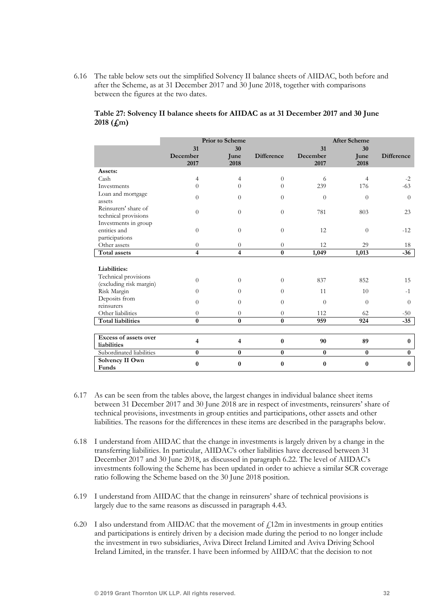6.16 The table below sets out the simplified Solvency II balance sheets of AIIDAC, both before and after the Scheme, as at 31 December 2017 and 30 June 2018, together with comparisons between the figures at the two dates.

|                                                 |                  | <b>Prior</b> to Scheme |                   |                  | <b>After Scheme</b> |                   |
|-------------------------------------------------|------------------|------------------------|-------------------|------------------|---------------------|-------------------|
|                                                 | 31               | 30                     |                   | 31               | 30                  |                   |
|                                                 | December<br>2017 | June<br>2018           | <b>Difference</b> | December<br>2017 | June<br>2018        | <b>Difference</b> |
| Assets:                                         |                  |                        |                   |                  |                     |                   |
| Cash                                            | 4                | 4                      | $\overline{0}$    | 6                | $\overline{4}$      | $-2$              |
| Investments                                     | $\overline{0}$   | 0                      | 0                 | 239              | 176                 | $-63$             |
| Loan and mortgage<br>assets                     | $\theta$         | $\overline{0}$         | $\overline{0}$    | $\overline{0}$   | $\theta$            | $\theta$          |
| Reinsurers' share of<br>technical provisions    | $\theta$         | $\Omega$               | $\Omega$          | 781              | 803                 | 23                |
| Investments in group                            |                  |                        |                   |                  |                     |                   |
| entities and                                    | $\theta$         | $\Omega$               | $\theta$          | 12               | $\theta$            | $-12$             |
| participations                                  |                  |                        |                   |                  |                     |                   |
| Other assets                                    | $\theta$         | $\theta$               | $\theta$          | 12               | 29                  | 18                |
| <b>Total assets</b>                             | 4                | 4                      | $\bf{0}$          | 1,049            | 1,013               | $-36$             |
|                                                 |                  |                        |                   |                  |                     |                   |
| Liabilities:                                    |                  |                        |                   |                  |                     |                   |
| Technical provisions<br>(excluding risk margin) | $\Omega$         | $\Omega$               | $\Omega$          | 837              | 852                 | 15                |
| Risk Margin                                     | $\overline{0}$   | $\Omega$               | $\theta$          | 11               | 10                  | $-1$              |
| Deposits from                                   | $\Omega$         | $\Omega$               | $\Omega$          | $\Omega$         | $\Omega$            | $\theta$          |
| reinsurers                                      |                  |                        |                   |                  |                     |                   |
| Other liabilities                               | $\theta$         | $\overline{0}$         | $\theta$          | 112              | 62                  | $-50$             |
| <b>Total liabilities</b>                        | $\bf{0}$         | $\bf{0}$               | $\bf{0}$          | 959              | 924                 | $-35$             |
|                                                 |                  |                        |                   |                  |                     |                   |
| Excess of assets over<br>liabilities            | 4                | 4                      | $\bf{0}$          | 90               | 89                  | $\bf{0}$          |
| Subordinated liabilities                        | $\bf{0}$         | $\bf{0}$               | $\bf{0}$          | $\bf{0}$         | $\mathbf{0}$        | $\mathbf{0}$      |
| Solvency II Own<br>Funds                        | 0                | $\bf{0}$               | 0                 | $\bf{0}$         | $\bf{0}$            | $\bf{0}$          |

## Table 27: Solvency II balance sheets for AIIDAC as at 31 December 2017 and 30 June 2018  $(f,m)$

- 6.17 As can be seen from the tables above, the largest changes in individual balance sheet items between 31 December 2017 and 30 June 2018 are in respect of investments, reinsurers' share of technical provisions, investments in group entities and participations, other assets and other liabilities. The reasons for the differences in these items are described in the paragraphs below.
- 6.18 I understand from AIIDAC that the change in investments is largely driven by a change in the transferring liabilities. In particular, AIIDAC's other liabilities have decreased between 31 December 2017 and 30 June 2018, as discussed in paragraph 6.22. The level of AIIDAC's investments following the Scheme has been updated in order to achieve a similar SCR coverage ratio following the Scheme based on the 30 June 2018 position.
- 6.19 I understand from AIIDAC that the change in reinsurers' share of technical provisions is largely due to the same reasons as discussed in paragraph 4.43.
- 6.20 I also understand from AIIDAC that the movement of  $f$ 12m in investments in group entities and participations is entirely driven by a decision made during the period to no longer include the investment in two subsidiaries, Aviva Direct Ireland Limited and Aviva Driving School Ireland Limited, in the transfer. I have been informed by AIIDAC that the decision to not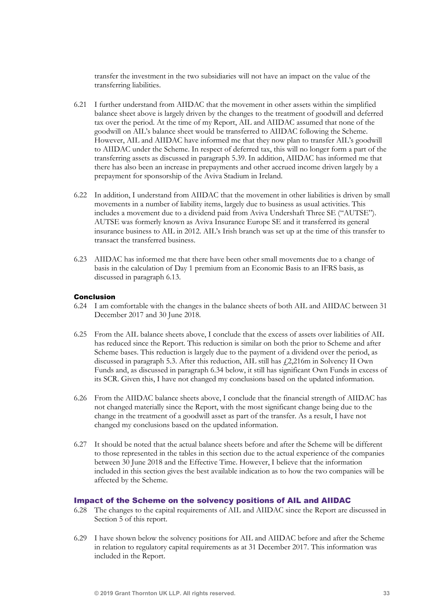transfer the investment in the two subsidiaries will not have an impact on the value of the transferring liabilities.

- 6.21 I further understand from AIIDAC that the movement in other assets within the simplified balance sheet above is largely driven by the changes to the treatment of goodwill and deferred tax over the period. At the time of my Report, AIL and AIIDAC assumed that none of the goodwill on AIL's balance sheet would be transferred to AIIDAC following the Scheme. However, AIL and AIIDAC have informed me that they now plan to transfer AIL's goodwill to AIIDAC under the Scheme. In respect of deferred tax, this will no longer form a part of the transferring assets as discussed in paragraph 5.39. In addition, AIIDAC has informed me that there has also been an increase in prepayments and other accrued income driven largely by a prepayment for sponsorship of the Aviva Stadium in Ireland.
- 6.22 In addition, I understand from AIIDAC that the movement in other liabilities is driven by small movements in a number of liability items, largely due to business as usual activities. This includes a movement due to a dividend paid from Aviva Undershaft Three SE ("AUTSE"). AUTSE was formerly known as Aviva Insurance Europe SE and it transferred its general insurance business to AIL in 2012. AIL's Irish branch was set up at the time of this transfer to transact the transferred business.
- 6.23 AIIDAC has informed me that there have been other small movements due to a change of basis in the calculation of Day 1 premium from an Economic Basis to an IFRS basis, as discussed in paragraph 6.13.

#### Conclusion

- 6.24 I am comfortable with the changes in the balance sheets of both AIL and AIIDAC between 31 December 2017 and 30 June 2018.
- 6.25 From the AIL balance sheets above, I conclude that the excess of assets over liabilities of AIL has reduced since the Report. This reduction is similar on both the prior to Scheme and after Scheme bases. This reduction is largely due to the payment of a dividend over the period, as discussed in paragraph 5.3. After this reduction, AIL still has  $f2,216$ m in Solvency II Own Funds and, as discussed in paragraph 6.34 below, it still has significant Own Funds in excess of its SCR. Given this, I have not changed my conclusions based on the updated information.
- 6.26 From the AIIDAC balance sheets above, I conclude that the financial strength of AIIDAC has not changed materially since the Report, with the most significant change being due to the change in the treatment of a goodwill asset as part of the transfer. As a result, I have not changed my conclusions based on the updated information.
- 6.27 It should be noted that the actual balance sheets before and after the Scheme will be different to those represented in the tables in this section due to the actual experience of the companies between 30 June 2018 and the Effective Time. However, I believe that the information included in this section gives the best available indication as to how the two companies will be affected by the Scheme.

#### Impact of the Scheme on the solvency positions of AIL and AIIDAC

- 6.28 The changes to the capital requirements of AIL and AIIDAC since the Report are discussed in Section 5 of this report.
- 6.29 I have shown below the solvency positions for AIL and AIIDAC before and after the Scheme in relation to regulatory capital requirements as at 31 December 2017. This information was included in the Report.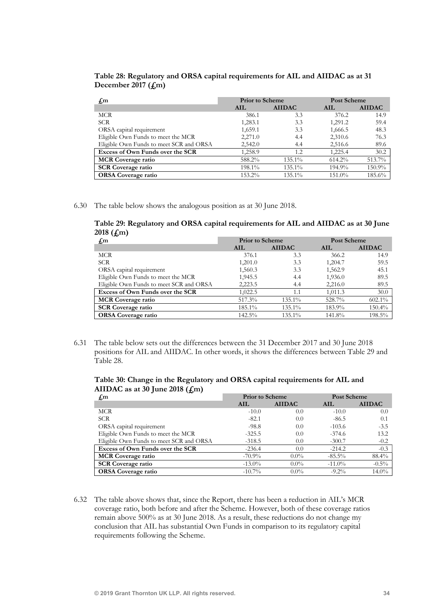| Table 28: Regulatory and ORSA capital requirements for AIL and AIIDAC as at 31 |  |  |
|--------------------------------------------------------------------------------|--|--|
| December 2017 $(f,m)$                                                          |  |  |

| $f_{\rm sm}$                            | <b>Prior to Scheme</b> |               | <b>Post Scheme</b> |               |
|-----------------------------------------|------------------------|---------------|--------------------|---------------|
|                                         | AIL                    | <b>AIIDAC</b> | AIL                | <b>AIIDAC</b> |
| MCR                                     | 386.1                  | 3.3           | 376.2              | 14.9          |
| <b>SCR</b>                              | 1,283.1                | 3.3           | 1,291.2            | 59.4          |
| ORSA capital requirement                | 1,659.1                | 3.3           | 1,666.5            | 48.3          |
| Eligible Own Funds to meet the MCR      | 2,271.0                | 4.4           | 2,310.6            | 76.3          |
| Eligible Own Funds to meet SCR and ORSA | 2,542.0                | 4.4           | 2,516.6            | 89.6          |
| Excess of Own Funds over the SCR        | 1,258.9                | 1.2           | 1,225.4            | 30.2          |
| <b>MCR</b> Coverage ratio               | 588.2%                 | $135.1\%$     | $614.2\%$          | 513.7%        |
| <b>SCR Coverage ratio</b>               | 198.1%                 | 135.1%        | 194.9%             | 150.9%        |
| <b>ORSA Coverage ratio</b>              | 153.2%                 | 135.1%        | 151.0%             | 185.6%        |

6.30 The table below shows the analogous position as at 30 June 2018.

Table 29: Regulatory and ORSA capital requirements for AIL and AIIDAC as at 30 June 2018 (£m)

| $f_{\rm sm}$                            | <b>Prior to Scheme</b> |               | Post Scheme |               |
|-----------------------------------------|------------------------|---------------|-------------|---------------|
|                                         | AIL                    | <b>AIIDAC</b> | AIL         | <b>AIIDAC</b> |
| MCR                                     | 376.1                  | 3.3           | 366.2       | 14.9          |
| <b>SCR</b>                              | 1,201.0                | 3.3           | 1,204.7     | 59.5          |
| ORSA capital requirement                | 1,560.3                | 3.3           | 1,562.9     | 45.1          |
| Eligible Own Funds to meet the MCR      | 1,945.5                | 4.4           | 1,936.0     | 89.5          |
| Eligible Own Funds to meet SCR and ORSA | 2,223.5                | 4.4           | 2,216.0     | 89.5          |
| Excess of Own Funds over the SCR        | 1,022.5                | 1.1           | 1,011.3     | 30.0          |
| <b>MCR</b> Coverage ratio               | 517.3%                 | 135.1%        | 528.7%      | $602.1\%$     |
| <b>SCR Coverage ratio</b>               | 185.1%                 | 135.1%        | 183.9%      | 150.4%        |
| <b>ORSA Coverage ratio</b>              | 142.5%                 | 135.1%        | 141.8%      | 198.5%        |

6.31 The table below sets out the differences between the 31 December 2017 and 30 June 2018 positions for AIL and AIIDAC. In other words, it shows the differences between Table 29 and Table 28.

Table 30: Change in the Regulatory and ORSA capital requirements for AIL and AIIDAC as at 30 June 2018  $(f<sub>cm</sub>)$ 

| $f_{\rm m}$                             | <b>Prior to Scheme</b> |               |           | Post Scheme   |
|-----------------------------------------|------------------------|---------------|-----------|---------------|
|                                         | AIL.                   | <b>AIIDAC</b> | AIL.      | <b>AIIDAC</b> |
| MCR                                     | $-10.0$                | 0.0           | $-10.0$   | 0.0           |
| <b>SCR</b>                              | $-82.1$                | 0.0           | $-86.5$   | 0.1           |
| ORSA capital requirement                | $-98.8$                | 0.0           | $-103.6$  | $-3.5$        |
| Eligible Own Funds to meet the MCR      | $-325.5$               | 0.0           | $-374.6$  | 13.2          |
| Eligible Own Funds to meet SCR and ORSA | $-318.5$               | 0.0           | $-300.7$  | $-0.2$        |
| Excess of Own Funds over the SCR        | $-236.4$               | 0.0           | $-214.2$  | $-0.3$        |
| <b>MCR</b> Coverage ratio               | $-70.9\%$              | $0.0\%$       | $-85.5\%$ | 88.4%         |
| <b>SCR Coverage ratio</b>               | $-13.0\%$              | $0.0\%$       | $-11.0\%$ | $-0.5\%$      |
| <b>ORSA Coverage ratio</b>              | $-10.7\%$              | $0.0\%$       | $-9.2\%$  | $14.0\%$      |

6.32 The table above shows that, since the Report, there has been a reduction in AIL's MCR coverage ratio, both before and after the Scheme. However, both of these coverage ratios remain above 500% as at 30 June 2018. As a result, these reductions do not change my conclusion that AIL has substantial Own Funds in comparison to its regulatory capital requirements following the Scheme.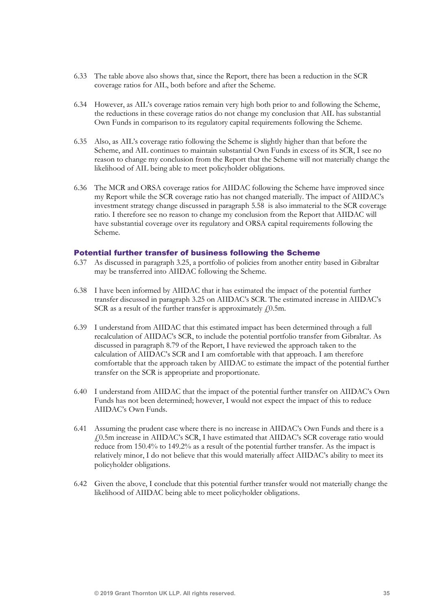- 6.33 The table above also shows that, since the Report, there has been a reduction in the SCR coverage ratios for AIL, both before and after the Scheme.
- 6.34 However, as AIL's coverage ratios remain very high both prior to and following the Scheme, the reductions in these coverage ratios do not change my conclusion that AIL has substantial Own Funds in comparison to its regulatory capital requirements following the Scheme.
- 6.35 Also, as AIL's coverage ratio following the Scheme is slightly higher than that before the Scheme, and AIL continues to maintain substantial Own Funds in excess of its SCR, I see no reason to change my conclusion from the Report that the Scheme will not materially change the likelihood of AIL being able to meet policyholder obligations.
- 6.36 The MCR and ORSA coverage ratios for AIIDAC following the Scheme have improved since my Report while the SCR coverage ratio has not changed materially. The impact of AIIDAC's investment strategy change discussed in paragraph 5.58 is also immaterial to the SCR coverage ratio. I therefore see no reason to change my conclusion from the Report that AIIDAC will have substantial coverage over its regulatory and ORSA capital requirements following the Scheme.

### Potential further transfer of business following the Scheme

- 6.37 As discussed in paragraph 3.25, a portfolio of policies from another entity based in Gibraltar may be transferred into AIIDAC following the Scheme.
- 6.38 I have been informed by AIIDAC that it has estimated the impact of the potential further transfer discussed in paragraph 3.25 on AIIDAC's SCR. The estimated increase in AIIDAC's SCR as a result of the further transfer is approximately  $f(0.5m)$ .
- 6.39 I understand from AIIDAC that this estimated impact has been determined through a full recalculation of AIIDAC's SCR, to include the potential portfolio transfer from Gibraltar. As discussed in paragraph 8.79 of the Report, I have reviewed the approach taken to the calculation of AIIDAC's SCR and I am comfortable with that approach. I am therefore comfortable that the approach taken by AIIDAC to estimate the impact of the potential further transfer on the SCR is appropriate and proportionate.
- 6.40 I understand from AIIDAC that the impact of the potential further transfer on AIIDAC's Own Funds has not been determined; however, I would not expect the impact of this to reduce AIIDAC's Own Funds.
- 6.41 Assuming the prudent case where there is no increase in AIIDAC's Own Funds and there is a £0.5m increase in AIIDAC's SCR, I have estimated that AIIDAC's SCR coverage ratio would reduce from 150.4% to 149.2% as a result of the potential further transfer. As the impact is relatively minor, I do not believe that this would materially affect AIIDAC's ability to meet its policyholder obligations.
- 6.42 Given the above, I conclude that this potential further transfer would not materially change the likelihood of AIIDAC being able to meet policyholder obligations.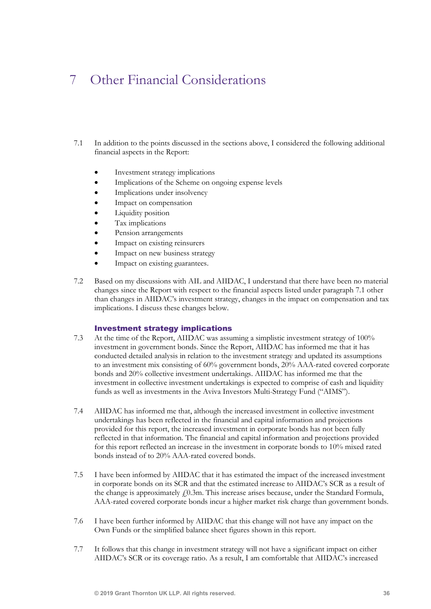# 7 Other Financial Considerations

- 7.1 In addition to the points discussed in the sections above, I considered the following additional financial aspects in the Report:
	- Investment strategy implications
	- Implications of the Scheme on ongoing expense levels
	- Implications under insolvency
	- Impact on compensation
	- Liquidity position
	- Tax implications
	- Pension arrangements
	- Impact on existing reinsurers
	- Impact on new business strategy
	- Impact on existing guarantees.
- 7.2 Based on my discussions with AIL and AIIDAC, I understand that there have been no material changes since the Report with respect to the financial aspects listed under paragraph 7.1 other than changes in AIIDAC's investment strategy, changes in the impact on compensation and tax implications. I discuss these changes below.

#### Investment strategy implications

- 7.3 At the time of the Report, AIIDAC was assuming a simplistic investment strategy of 100% investment in government bonds. Since the Report, AIIDAC has informed me that it has conducted detailed analysis in relation to the investment strategy and updated its assumptions to an investment mix consisting of 60% government bonds, 20% AAA-rated covered corporate bonds and 20% collective investment undertakings. AIIDAC has informed me that the investment in collective investment undertakings is expected to comprise of cash and liquidity funds as well as investments in the Aviva Investors Multi-Strategy Fund ("AIMS").
- 7.4 AIIDAC has informed me that, although the increased investment in collective investment undertakings has been reflected in the financial and capital information and projections provided for this report, the increased investment in corporate bonds has not been fully reflected in that information. The financial and capital information and projections provided for this report reflected an increase in the investment in corporate bonds to 10% mixed rated bonds instead of to 20% AAA-rated covered bonds.
- 7.5 I have been informed by AIIDAC that it has estimated the impact of the increased investment in corporate bonds on its SCR and that the estimated increase to AIIDAC's SCR as a result of the change is approximately  $f(0.3m)$ . This increase arises because, under the Standard Formula, AAA-rated covered corporate bonds incur a higher market risk charge than government bonds.
- 7.6 I have been further informed by AIIDAC that this change will not have any impact on the Own Funds or the simplified balance sheet figures shown in this report.
- 7.7 It follows that this change in investment strategy will not have a significant impact on either AIIDAC's SCR or its coverage ratio. As a result, I am comfortable that AIIDAC's increased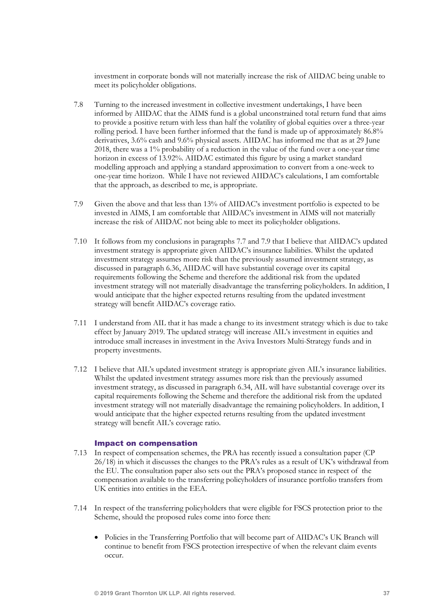investment in corporate bonds will not materially increase the risk of AIIDAC being unable to meet its policyholder obligations.

- 7.8 Turning to the increased investment in collective investment undertakings, I have been informed by AIIDAC that the AIMS fund is a global unconstrained total return fund that aims to provide a positive return with less than half the volatility of global equities over a three-year rolling period. I have been further informed that the fund is made up of approximately 86.8% derivatives, 3.6% cash and 9.6% physical assets. AIIDAC has informed me that as at 29 June 2018, there was a 1% probability of a reduction in the value of the fund over a one-year time horizon in excess of 13.92%. AIIDAC estimated this figure by using a market standard modelling approach and applying a standard approximation to convert from a one-week to one-year time horizon. While I have not reviewed AIIDAC's calculations, I am comfortable that the approach, as described to me, is appropriate.
- 7.9 Given the above and that less than 13% of AIIDAC's investment portfolio is expected to be invested in AIMS, I am comfortable that AIIDAC's investment in AIMS will not materially increase the risk of AIIDAC not being able to meet its policyholder obligations.
- 7.10 It follows from my conclusions in paragraphs 7.7 and 7.9 that I believe that AIIDAC's updated investment strategy is appropriate given AIIDAC's insurance liabilities. Whilst the updated investment strategy assumes more risk than the previously assumed investment strategy, as discussed in paragraph 6.36, AIIDAC will have substantial coverage over its capital requirements following the Scheme and therefore the additional risk from the updated investment strategy will not materially disadvantage the transferring policyholders. In addition, I would anticipate that the higher expected returns resulting from the updated investment strategy will benefit AIIDAC's coverage ratio.
- 7.11 I understand from AIL that it has made a change to its investment strategy which is due to take effect by January 2019. The updated strategy will increase AIL's investment in equities and introduce small increases in investment in the Aviva Investors Multi-Strategy funds and in property investments.
- 7.12 I believe that AIL's updated investment strategy is appropriate given AIL's insurance liabilities. Whilst the updated investment strategy assumes more risk than the previously assumed investment strategy, as discussed in paragraph 6.34, AIL will have substantial coverage over its capital requirements following the Scheme and therefore the additional risk from the updated investment strategy will not materially disadvantage the remaining policyholders. In addition, I would anticipate that the higher expected returns resulting from the updated investment strategy will benefit AIL's coverage ratio.

#### Impact on compensation

- 7.13 In respect of compensation schemes, the PRA has recently issued a consultation paper (CP 26/18) in which it discusses the changes to the PRA's rules as a result of UK's withdrawal from the EU. The consultation paper also sets out the PRA's proposed stance in respect of the compensation available to the transferring policyholders of insurance portfolio transfers from UK entities into entities in the EEA.
- 7.14 In respect of the transferring policyholders that were eligible for FSCS protection prior to the Scheme, should the proposed rules come into force then:
	- Policies in the Transferring Portfolio that will become part of AIIDAC's UK Branch will continue to benefit from FSCS protection irrespective of when the relevant claim events occur.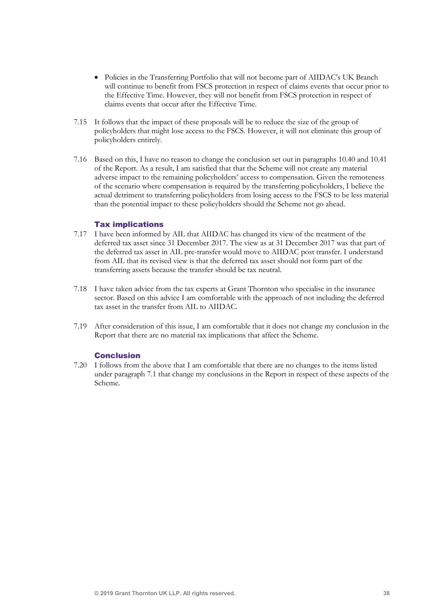- Policies in the Transferring Portfolio that will not become part of AIIDAC's UK Branch will continue to benefit from FSCS protection in respect of claims events that occur prior to the Effective Time. However, they will not benefit from FSCS protection in respect of claims events that occur after the Effective Time.
- 7.15 It follows that the impact of these proposals will be to reduce the size of the group of policyholders that might lose access to the FSCS. However, it will not eliminate this group of policyholders entirely.
- 7.16 Based on this, I have no reason to change the conclusion set out in paragraphs 10.40 and 10.41 of the Report. As a result, I am satisfied that that the Scheme will not create any material adverse impact to the remaining policyholders' access to compensation. Given the remoteness of the scenario where compensation is required by the transferring policyholders, I believe the actual detriment to transferring policyholders from losing access to the FSCS to be less material than the potential impact to these policyholders should the Scheme not go ahead.

#### Tax implications

- 7.17 I have been informed by AIL that AIIDAC has changed its view of the treatment of the deferred tax asset since 31 December 2017. The view as at 31 December 2017 was that part of the deferred tax asset in AIL pre-transfer would move to AIIDAC post transfer. I understand from AIL that its revised view is that the deferred tax asset should not form part of the transferring assets because the transfer should be tax neutral.
- 7.18 I have taken advice from the tax experts at Grant Thornton who specialise in the insurance sector. Based on this advice I am comfortable with the approach of not including the deferred tax asset in the transfer from AIL to AIIDAC.
- 7.19 After consideration of this issue, I am comfortable that it does not change my conclusion in the Report that there are no material tax implications that affect the Scheme.

#### Conclusion

7.20 I follows from the above that I am comfortable that there are no changes to the items listed under paragraph 7.1 that change my conclusions in the Report in respect of these aspects of the Scheme.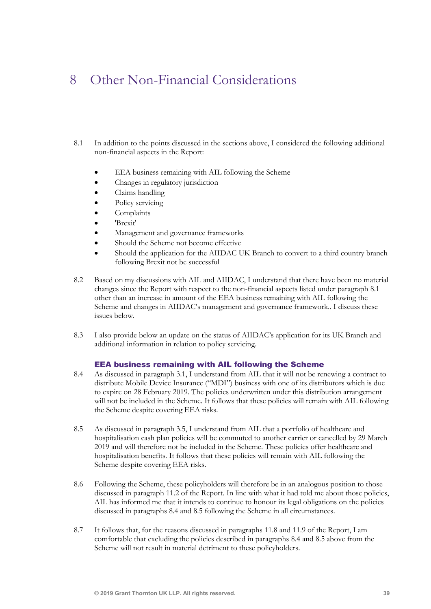## 8 Other Non-Financial Considerations

- 8.1 In addition to the points discussed in the sections above, I considered the following additional non-financial aspects in the Report:
	- EEA business remaining with AIL following the Scheme
	- Changes in regulatory jurisdiction
	- Claims handling
	- Policy servicing
	- **Complaints**
	- 'Brexit'
	- Management and governance frameworks
	- Should the Scheme not become effective
	- Should the application for the AIIDAC UK Branch to convert to a third country branch following Brexit not be successful
- 8.2 Based on my discussions with AIL and AIIDAC, I understand that there have been no material changes since the Report with respect to the non-financial aspects listed under paragraph 8.1 other than an increase in amount of the EEA business remaining with AIL following the Scheme and changes in AIIDAC's management and governance framework.. I discuss these issues below.
- 8.3 I also provide below an update on the status of AIIDAC's application for its UK Branch and additional information in relation to policy servicing.

#### EEA business remaining with AIL following the Scheme

- 8.4 As discussed in paragraph 3.1, I understand from AIL that it will not be renewing a contract to distribute Mobile Device Insurance ("MDI") business with one of its distributors which is due to expire on 28 February 2019. The policies underwritten under this distribution arrangement will not be included in the Scheme. It follows that these policies will remain with AIL following the Scheme despite covering EEA risks.
- 8.5 As discussed in paragraph 3.5, I understand from AIL that a portfolio of healthcare and hospitalisation cash plan policies will be commuted to another carrier or cancelled by 29 March 2019 and will therefore not be included in the Scheme. These policies offer healthcare and hospitalisation benefits. It follows that these policies will remain with AIL following the Scheme despite covering EEA risks.
- 8.6 Following the Scheme, these policyholders will therefore be in an analogous position to those discussed in paragraph 11.2 of the Report. In line with what it had told me about those policies, AIL has informed me that it intends to continue to honour its legal obligations on the policies discussed in paragraphs 8.4 and 8.5 following the Scheme in all circumstances.
- 8.7 It follows that, for the reasons discussed in paragraphs 11.8 and 11.9 of the Report, I am comfortable that excluding the policies described in paragraphs 8.4 and 8.5 above from the Scheme will not result in material detriment to these policyholders.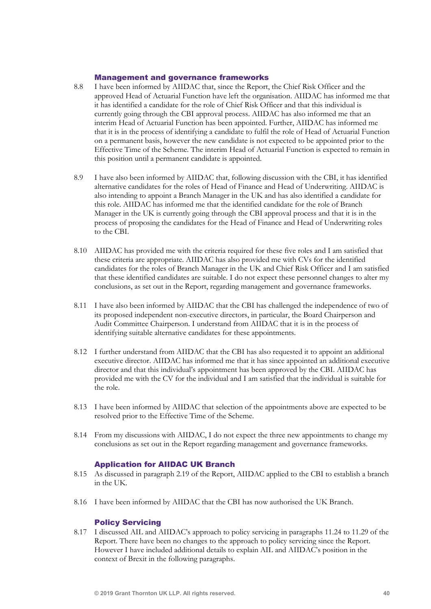### Management and governance frameworks

- 8.8 I have been informed by AIIDAC that, since the Report, the Chief Risk Officer and the approved Head of Actuarial Function have left the organisation. AIIDAC has informed me that it has identified a candidate for the role of Chief Risk Officer and that this individual is currently going through the CBI approval process. AIIDAC has also informed me that an interim Head of Actuarial Function has been appointed. Further, AIIDAC has informed me that it is in the process of identifying a candidate to fulfil the role of Head of Actuarial Function on a permanent basis, however the new candidate is not expected to be appointed prior to the Effective Time of the Scheme. The interim Head of Actuarial Function is expected to remain in this position until a permanent candidate is appointed.
- 8.9 I have also been informed by AIIDAC that, following discussion with the CBI, it has identified alternative candidates for the roles of Head of Finance and Head of Underwriting. AIIDAC is also intending to appoint a Branch Manager in the UK and has also identified a candidate for this role. AIIDAC has informed me that the identified candidate for the role of Branch Manager in the UK is currently going through the CBI approval process and that it is in the process of proposing the candidates for the Head of Finance and Head of Underwriting roles to the CBI.
- 8.10 AIIDAC has provided me with the criteria required for these five roles and I am satisfied that these criteria are appropriate. AIIDAC has also provided me with CVs for the identified candidates for the roles of Branch Manager in the UK and Chief Risk Officer and I am satisfied that these identified candidates are suitable. I do not expect these personnel changes to alter my conclusions, as set out in the Report, regarding management and governance frameworks.
- 8.11 I have also been informed by AIIDAC that the CBI has challenged the independence of two of its proposed independent non-executive directors, in particular, the Board Chairperson and Audit Committee Chairperson. I understand from AIIDAC that it is in the process of identifying suitable alternative candidates for these appointments.
- 8.12 I further understand from AIIDAC that the CBI has also requested it to appoint an additional executive director. AIIDAC has informed me that it has since appointed an additional executive director and that this individual's appointment has been approved by the CBI. AIIDAC has provided me with the CV for the individual and I am satisfied that the individual is suitable for the role.
- 8.13 I have been informed by AIIDAC that selection of the appointments above are expected to be resolved prior to the Effective Time of the Scheme.
- 8.14 From my discussions with AIIDAC, I do not expect the three new appointments to change my conclusions as set out in the Report regarding management and governance frameworks.

### Application for AIIDAC UK Branch

- 8.15 As discussed in paragraph 2.19 of the Report, AIIDAC applied to the CBI to establish a branch in the UK.
- 8.16 I have been informed by AIIDAC that the CBI has now authorised the UK Branch.

#### Policy Servicing

8.17 I discussed AIL and AIIDAC's approach to policy servicing in paragraphs 11.24 to 11.29 of the Report. There have been no changes to the approach to policy servicing since the Report. However I have included additional details to explain AIL and AIIDAC's position in the context of Brexit in the following paragraphs.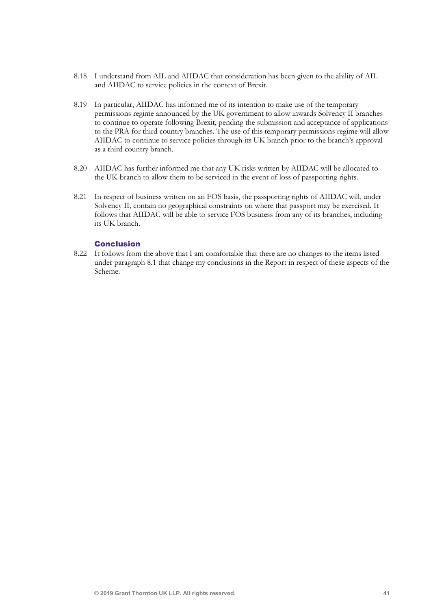- 8.18 I understand from AIL and AIIDAC that consideration has been given to the ability of AIL and AIIDAC to service policies in the context of Brexit.
- 8.19 In particular, AIIDAC has informed me of its intention to make use of the temporary permissions regime announced by the UK government to allow inwards Solvency II branches to continue to operate following Brexit, pending the submission and acceptance of applications to the PRA for third country branches. The use of this temporary permissions regime will allow AIIDAC to continue to service policies through its UK branch prior to the branch's approval as a third country branch.
- 8.20 AIIDAC has further informed me that any UK risks written by AIIDAC will be allocated to the UK branch to allow them to be serviced in the event of loss of passporting rights.
- 8.21 In respect of business written on an FOS basis, the passporting rights of AIIDAC will, under Solvency II, contain no geographical constraints on where that passport may be exercised. It follows that AIIDAC will be able to service FOS business from any of its branches, including its UK branch.

### Conclusion

8.22 It follows from the above that I am comfortable that there are no changes to the items listed under paragraph 8.1 that change my conclusions in the Report in respect of these aspects of the Scheme.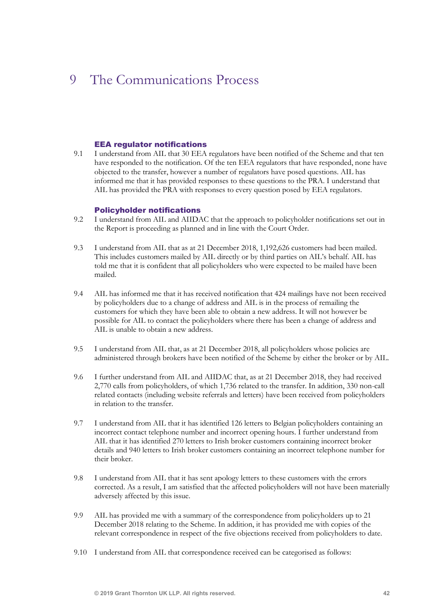## 9 The Communications Process

#### EEA regulator notifications

9.1 I understand from AIL that 30 EEA regulators have been notified of the Scheme and that ten have responded to the notification. Of the ten EEA regulators that have responded, none have objected to the transfer, however a number of regulators have posed questions. AIL has informed me that it has provided responses to these questions to the PRA. I understand that AIL has provided the PRA with responses to every question posed by EEA regulators.

#### Policyholder notifications

- 9.2 I understand from AIL and AIIDAC that the approach to policyholder notifications set out in the Report is proceeding as planned and in line with the Court Order.
- 9.3 I understand from AIL that as at 21 December 2018, 1,192,626 customers had been mailed. This includes customers mailed by AIL directly or by third parties on AIL's behalf. AIL has told me that it is confident that all policyholders who were expected to be mailed have been mailed.
- 9.4 AIL has informed me that it has received notification that 424 mailings have not been received by policyholders due to a change of address and AIL is in the process of remailing the customers for which they have been able to obtain a new address. It will not however be possible for AIL to contact the policyholders where there has been a change of address and AIL is unable to obtain a new address.
- 9.5 I understand from AIL that, as at 21 December 2018, all policyholders whose policies are administered through brokers have been notified of the Scheme by either the broker or by AIL.
- 9.6 I further understand from AIL and AIIDAC that, as at 21 December 2018, they had received 2,770 calls from policyholders, of which 1,736 related to the transfer. In addition, 330 non-call related contacts (including website referrals and letters) have been received from policyholders in relation to the transfer.
- 9.7 I understand from AIL that it has identified 126 letters to Belgian policyholders containing an incorrect contact telephone number and incorrect opening hours. I further understand from AIL that it has identified 270 letters to Irish broker customers containing incorrect broker details and 940 letters to Irish broker customers containing an incorrect telephone number for their broker.
- 9.8 I understand from AIL that it has sent apology letters to these customers with the errors corrected. As a result, I am satisfied that the affected policyholders will not have been materially adversely affected by this issue.
- 9.9 AIL has provided me with a summary of the correspondence from policyholders up to 21 December 2018 relating to the Scheme. In addition, it has provided me with copies of the relevant correspondence in respect of the five objections received from policyholders to date.
- 9.10 I understand from AIL that correspondence received can be categorised as follows: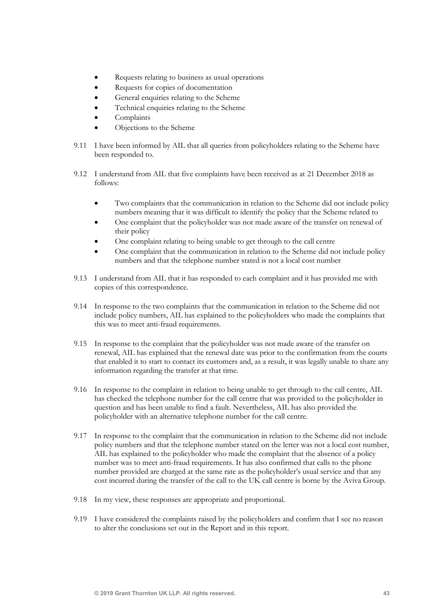- Requests relating to business as usual operations
- Requests for copies of documentation
- General enquiries relating to the Scheme
- Technical enquiries relating to the Scheme
- **Complaints**
- Objections to the Scheme
- 9.11 I have been informed by AIL that all queries from policyholders relating to the Scheme have been responded to.
- 9.12 I understand from AIL that five complaints have been received as at 21 December 2018 as follows:
	- Two complaints that the communication in relation to the Scheme did not include policy numbers meaning that it was difficult to identify the policy that the Scheme related to
	- One complaint that the policyholder was not made aware of the transfer on renewal of their policy
	- One complaint relating to being unable to get through to the call centre
	- One complaint that the communication in relation to the Scheme did not include policy numbers and that the telephone number stated is not a local cost number
- 9.13 I understand from AIL that it has responded to each complaint and it has provided me with copies of this correspondence.
- 9.14 In response to the two complaints that the communication in relation to the Scheme did not include policy numbers, AIL has explained to the policyholders who made the complaints that this was to meet anti-fraud requirements.
- 9.15 In response to the complaint that the policyholder was not made aware of the transfer on renewal, AIL has explained that the renewal date was prior to the confirmation from the courts that enabled it to start to contact its customers and, as a result, it was legally unable to share any information regarding the transfer at that time.
- 9.16 In response to the complaint in relation to being unable to get through to the call centre, AIL has checked the telephone number for the call centre that was provided to the policyholder in question and has been unable to find a fault. Nevertheless, AIL has also provided the policyholder with an alternative telephone number for the call centre.
- 9.17 In response to the complaint that the communication in relation to the Scheme did not include policy numbers and that the telephone number stated on the letter was not a local cost number, AIL has explained to the policyholder who made the complaint that the absence of a policy number was to meet anti-fraud requirements. It has also confirmed that calls to the phone number provided are charged at the same rate as the policyholder's usual service and that any cost incurred during the transfer of the call to the UK call centre is borne by the Aviva Group.
- 9.18 In my view, these responses are appropriate and proportional.
- 9.19 I have considered the complaints raised by the policyholders and confirm that I see no reason to alter the conclusions set out in the Report and in this report.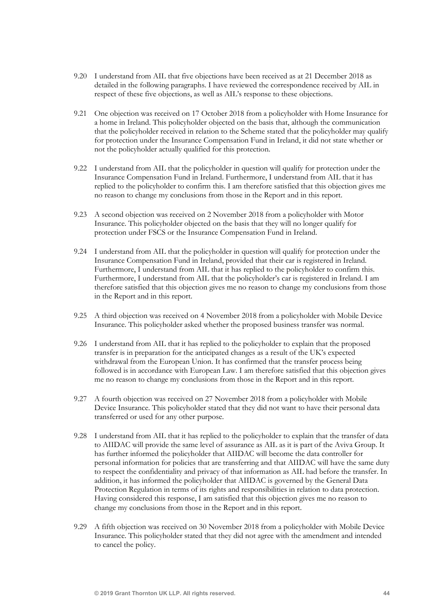- 9.20 I understand from AIL that five objections have been received as at 21 December 2018 as detailed in the following paragraphs. I have reviewed the correspondence received by AIL in respect of these five objections, as well as AIL's response to these objections.
- 9.21 One objection was received on 17 October 2018 from a policyholder with Home Insurance for a home in Ireland. This policyholder objected on the basis that, although the communication that the policyholder received in relation to the Scheme stated that the policyholder may qualify for protection under the Insurance Compensation Fund in Ireland, it did not state whether or not the policyholder actually qualified for this protection.
- 9.22 I understand from AIL that the policyholder in question will qualify for protection under the Insurance Compensation Fund in Ireland. Furthermore, I understand from AIL that it has replied to the policyholder to confirm this. I am therefore satisfied that this objection gives me no reason to change my conclusions from those in the Report and in this report.
- 9.23 A second objection was received on 2 November 2018 from a policyholder with Motor Insurance. This policyholder objected on the basis that they will no longer qualify for protection under FSCS or the Insurance Compensation Fund in Ireland.
- 9.24 I understand from AIL that the policyholder in question will qualify for protection under the Insurance Compensation Fund in Ireland, provided that their car is registered in Ireland. Furthermore, I understand from AIL that it has replied to the policyholder to confirm this. Furthermore, I understand from AIL that the policyholder's car is registered in Ireland. I am therefore satisfied that this objection gives me no reason to change my conclusions from those in the Report and in this report.
- 9.25 A third objection was received on 4 November 2018 from a policyholder with Mobile Device Insurance. This policyholder asked whether the proposed business transfer was normal.
- 9.26 I understand from AIL that it has replied to the policyholder to explain that the proposed transfer is in preparation for the anticipated changes as a result of the UK's expected withdrawal from the European Union. It has confirmed that the transfer process being followed is in accordance with European Law. I am therefore satisfied that this objection gives me no reason to change my conclusions from those in the Report and in this report.
- 9.27 A fourth objection was received on 27 November 2018 from a policyholder with Mobile Device Insurance. This policyholder stated that they did not want to have their personal data transferred or used for any other purpose.
- 9.28 I understand from AIL that it has replied to the policyholder to explain that the transfer of data to AIIDAC will provide the same level of assurance as AIL as it is part of the Aviva Group. It has further informed the policyholder that AIIDAC will become the data controller for personal information for policies that are transferring and that AIIDAC will have the same duty to respect the confidentiality and privacy of that information as AIL had before the transfer. In addition, it has informed the policyholder that AIIDAC is governed by the General Data Protection Regulation in terms of its rights and responsibilities in relation to data protection. Having considered this response, I am satisfied that this objection gives me no reason to change my conclusions from those in the Report and in this report.
- 9.29 A fifth objection was received on 30 November 2018 from a policyholder with Mobile Device Insurance. This policyholder stated that they did not agree with the amendment and intended to cancel the policy.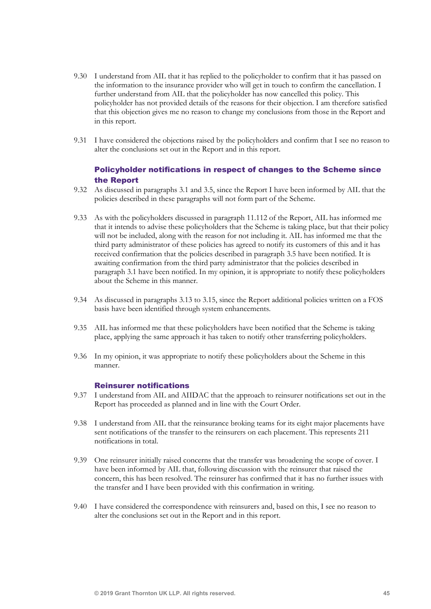- 9.30 I understand from AIL that it has replied to the policyholder to confirm that it has passed on the information to the insurance provider who will get in touch to confirm the cancellation. I further understand from AIL that the policyholder has now cancelled this policy. This policyholder has not provided details of the reasons for their objection. I am therefore satisfied that this objection gives me no reason to change my conclusions from those in the Report and in this report.
- 9.31 I have considered the objections raised by the policyholders and confirm that I see no reason to alter the conclusions set out in the Report and in this report.

## Policyholder notifications in respect of changes to the Scheme since the Report

- 9.32 As discussed in paragraphs 3.1 and 3.5, since the Report I have been informed by AIL that the policies described in these paragraphs will not form part of the Scheme.
- 9.33 As with the policyholders discussed in paragraph 11.112 of the Report, AIL has informed me that it intends to advise these policyholders that the Scheme is taking place, but that their policy will not be included, along with the reason for not including it. AIL has informed me that the third party administrator of these policies has agreed to notify its customers of this and it has received confirmation that the policies described in paragraph 3.5 have been notified. It is awaiting confirmation from the third party administrator that the policies described in paragraph 3.1 have been notified. In my opinion, it is appropriate to notify these policyholders about the Scheme in this manner.
- 9.34 As discussed in paragraphs 3.13 to 3.15, since the Report additional policies written on a FOS basis have been identified through system enhancements.
- 9.35 AIL has informed me that these policyholders have been notified that the Scheme is taking place, applying the same approach it has taken to notify other transferring policyholders.
- 9.36 In my opinion, it was appropriate to notify these policyholders about the Scheme in this manner.

#### Reinsurer notifications

- 9.37 I understand from AIL and AIIDAC that the approach to reinsurer notifications set out in the Report has proceeded as planned and in line with the Court Order.
- 9.38 I understand from AIL that the reinsurance broking teams for its eight major placements have sent notifications of the transfer to the reinsurers on each placement. This represents 211 notifications in total.
- 9.39 One reinsurer initially raised concerns that the transfer was broadening the scope of cover. I have been informed by AIL that, following discussion with the reinsurer that raised the concern, this has been resolved. The reinsurer has confirmed that it has no further issues with the transfer and I have been provided with this confirmation in writing.
- 9.40 I have considered the correspondence with reinsurers and, based on this, I see no reason to alter the conclusions set out in the Report and in this report.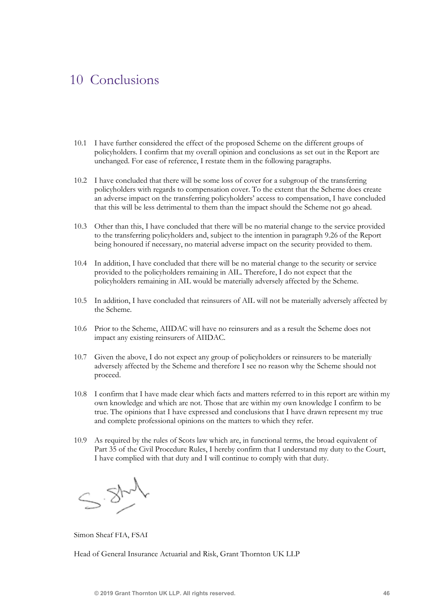## 10 Conclusions

- 10.1 I have further considered the effect of the proposed Scheme on the different groups of policyholders. I confirm that my overall opinion and conclusions as set out in the Report are unchanged. For ease of reference, I restate them in the following paragraphs.
- 10.2 I have concluded that there will be some loss of cover for a subgroup of the transferring policyholders with regards to compensation cover. To the extent that the Scheme does create an adverse impact on the transferring policyholders' access to compensation, I have concluded that this will be less detrimental to them than the impact should the Scheme not go ahead.
- 10.3 Other than this, I have concluded that there will be no material change to the service provided to the transferring policyholders and, subject to the intention in paragraph 9.26 of the Report being honoured if necessary, no material adverse impact on the security provided to them.
- 10.4 In addition, I have concluded that there will be no material change to the security or service provided to the policyholders remaining in AIL. Therefore, I do not expect that the policyholders remaining in AIL would be materially adversely affected by the Scheme.
- 10.5 In addition, I have concluded that reinsurers of AIL will not be materially adversely affected by the Scheme.
- 10.6 Prior to the Scheme, AIIDAC will have no reinsurers and as a result the Scheme does not impact any existing reinsurers of AIIDAC.
- 10.7 Given the above, I do not expect any group of policyholders or reinsurers to be materially adversely affected by the Scheme and therefore I see no reason why the Scheme should not proceed.
- 10.8 I confirm that I have made clear which facts and matters referred to in this report are within my own knowledge and which are not. Those that are within my own knowledge I confirm to be true. The opinions that I have expressed and conclusions that I have drawn represent my true and complete professional opinions on the matters to which they refer.
- 10.9 As required by the rules of Scots law which are, in functional terms, the broad equivalent of Part 35 of the Civil Procedure Rules, I hereby confirm that I understand my duty to the Court, I have complied with that duty and I will continue to comply with that duty.

 $-37$ 

Simon Sheaf FIA, FSAI

Head of General Insurance Actuarial and Risk, Grant Thornton UK LLP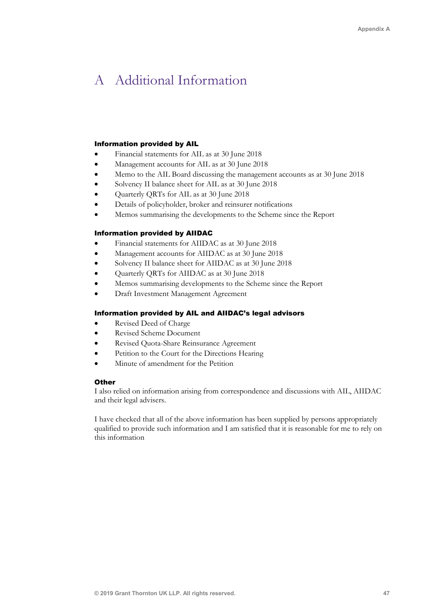## A Additional Information

#### Information provided by AIL

- Financial statements for AIL as at 30 June 2018
- Management accounts for AIL as at 30 June 2018
- Memo to the AIL Board discussing the management accounts as at 30 June 2018
- Solvency II balance sheet for AIL as at 30 June 2018
- Quarterly QRTs for AIL as at 30 June 2018
- Details of policyholder, broker and reinsurer notifications
- Memos summarising the developments to the Scheme since the Report

#### Information provided by AIIDAC

- Financial statements for AIIDAC as at 30 June 2018
- Management accounts for AIIDAC as at 30 June 2018
- Solvency II balance sheet for AIIDAC as at 30 June 2018
- Quarterly QRTs for AIIDAC as at 30 June 2018
- Memos summarising developments to the Scheme since the Report
- Draft Investment Management Agreement

#### Information provided by AIL and AIIDAC's legal advisors

- Revised Deed of Charge
- Revised Scheme Document
- Revised Quota-Share Reinsurance Agreement
- Petition to the Court for the Directions Hearing
- Minute of amendment for the Petition

#### **Other**

I also relied on information arising from correspondence and discussions with AIL, AIIDAC and their legal advisers.

I have checked that all of the above information has been supplied by persons appropriately qualified to provide such information and I am satisfied that it is reasonable for me to rely on this information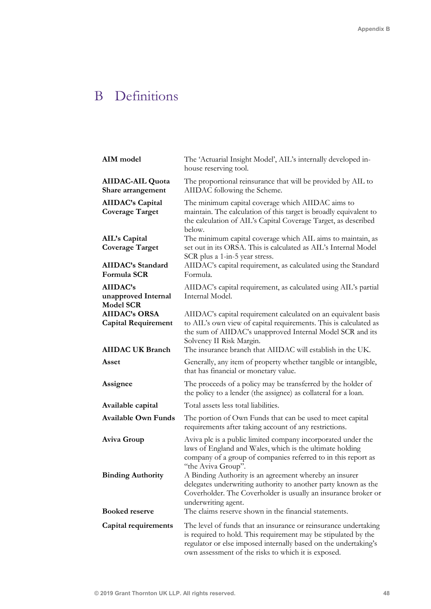# B Definitions

| AIM model                                           | The 'Actuarial Insight Model', AIL's internally developed in-<br>house reserving tool.                                                                                                                                                                      |
|-----------------------------------------------------|-------------------------------------------------------------------------------------------------------------------------------------------------------------------------------------------------------------------------------------------------------------|
| <b>AIIDAC-AIL Quota</b><br>Share arrangement        | The proportional reinsurance that will be provided by AIL to<br>AIIDAC following the Scheme.                                                                                                                                                                |
| <b>AIIDAC's Capital</b><br><b>Coverage Target</b>   | The minimum capital coverage which AIIDAC aims to<br>maintain. The calculation of this target is broadly equivalent to<br>the calculation of AIL's Capital Coverage Target, as described<br>below.                                                          |
| AIL's Capital<br><b>Coverage Target</b>             | The minimum capital coverage which AIL aims to maintain, as<br>set out in its ORSA. This is calculated as AIL's Internal Model<br>SCR plus a 1-in-5 year stress.                                                                                            |
| <b>AIIDAC's Standard</b><br>Formula SCR             | AIIDAC's capital requirement, as calculated using the Standard<br>Formula.                                                                                                                                                                                  |
| AIIDAC's<br>unapproved Internal<br><b>Model SCR</b> | AIIDAC's capital requirement, as calculated using AIL's partial<br>Internal Model.                                                                                                                                                                          |
| <b>AIIDAC's ORSA</b><br><b>Capital Requirement</b>  | AIIDAC's capital requirement calculated on an equivalent basis<br>to AIL's own view of capital requirements. This is calculated as<br>the sum of AIIDAC's unapproved Internal Model SCR and its<br>Solvency II Risk Margin.                                 |
| <b>AIIDAC UK Branch</b>                             | The insurance branch that AIIDAC will establish in the UK.                                                                                                                                                                                                  |
| Asset                                               | Generally, any item of property whether tangible or intangible,<br>that has financial or monetary value.                                                                                                                                                    |
| Assignee                                            | The proceeds of a policy may be transferred by the holder of<br>the policy to a lender (the assignee) as collateral for a loan.                                                                                                                             |
| Available capital                                   | Total assets less total liabilities.                                                                                                                                                                                                                        |
| <b>Available Own Funds</b>                          | The portion of Own Funds that can be used to meet capital<br>requirements after taking account of any restrictions.                                                                                                                                         |
| Aviva Group                                         | Aviva plc is a public limited company incorporated under the<br>laws of England and Wales, which is the ultimate holding<br>company of a group of companies referred to in this report as<br>"the Aviva Group".                                             |
| <b>Binding Authority</b>                            | A Binding Authority is an agreement whereby an insurer<br>delegates underwriting authority to another party known as the<br>Coverholder. The Coverholder is usually an insurance broker or<br>underwriting agent.                                           |
| <b>Booked reserve</b>                               | The claims reserve shown in the financial statements.                                                                                                                                                                                                       |
| Capital requirements                                | The level of funds that an insurance or reinsurance undertaking<br>is required to hold. This requirement may be stipulated by the<br>regulator or else imposed internally based on the undertaking's<br>own assessment of the risks to which it is exposed. |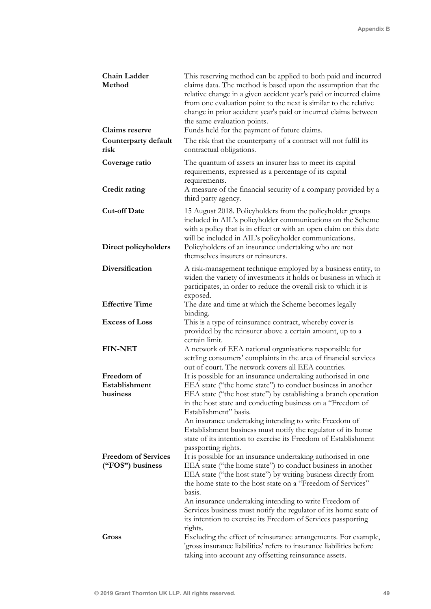| Chain Ladder<br>Method                         | This reserving method can be applied to both paid and incurred<br>claims data. The method is based upon the assumption that the<br>relative change in a given accident year's paid or incurred claims<br>from one evaluation point to the next is similar to the relative<br>change in prior accident year's paid or incurred claims between<br>the same evaluation points. |
|------------------------------------------------|-----------------------------------------------------------------------------------------------------------------------------------------------------------------------------------------------------------------------------------------------------------------------------------------------------------------------------------------------------------------------------|
| <b>Claims</b> reserve                          | Funds held for the payment of future claims.                                                                                                                                                                                                                                                                                                                                |
| Counterparty default<br>risk                   | The risk that the counterparty of a contract will not fulfil its<br>contractual obligations.                                                                                                                                                                                                                                                                                |
| Coverage ratio                                 | The quantum of assets an insurer has to meet its capital<br>requirements, expressed as a percentage of its capital<br>requirements.                                                                                                                                                                                                                                         |
| <b>Credit rating</b>                           | A measure of the financial security of a company provided by a<br>third party agency.                                                                                                                                                                                                                                                                                       |
| <b>Cut-off Date</b><br>Direct policyholders    | 15 August 2018. Policyholders from the policyholder groups<br>included in AIL's policyholder communications on the Scheme<br>with a policy that is in effect or with an open claim on this date<br>will be included in AIL's policyholder communications.<br>Policyholders of an insurance undertaking who are not                                                          |
|                                                | themselves insurers or reinsurers.                                                                                                                                                                                                                                                                                                                                          |
| Diversification                                | A risk-management technique employed by a business entity, to<br>widen the variety of investments it holds or business in which it<br>participates, in order to reduce the overall risk to which it is<br>exposed.                                                                                                                                                          |
| <b>Effective Time</b>                          | The date and time at which the Scheme becomes legally<br>binding.                                                                                                                                                                                                                                                                                                           |
| <b>Excess of Loss</b>                          | This is a type of reinsurance contract, whereby cover is<br>provided by the reinsurer above a certain amount, up to a<br>certain limit.                                                                                                                                                                                                                                     |
| <b>FIN-NET</b>                                 | A network of EEA national organisations responsible for<br>settling consumers' complaints in the area of financial services<br>out of court. The network covers all EEA countries.                                                                                                                                                                                          |
| Freedom of                                     | It is possible for an insurance undertaking authorised in one                                                                                                                                                                                                                                                                                                               |
| Establishment                                  | EEA state ("the home state") to conduct business in another                                                                                                                                                                                                                                                                                                                 |
| business                                       | EEA state ("the host state") by establishing a branch operation<br>in the host state and conducting business on a "Freedom of                                                                                                                                                                                                                                               |
|                                                | Establishment" basis.<br>An insurance undertaking intending to write Freedom of<br>Establishment business must notify the regulator of its home<br>state of its intention to exercise its Freedom of Establishment<br>passporting rights.                                                                                                                                   |
| <b>Freedom of Services</b><br>("FOS") business | It is possible for an insurance undertaking authorised in one<br>EEA state ("the home state") to conduct business in another<br>EEA state ("the host state") by writing business directly from<br>the home state to the host state on a "Freedom of Services"<br>basis.                                                                                                     |
| Gross                                          | An insurance undertaking intending to write Freedom of<br>Services business must notify the regulator of its home state of<br>its intention to exercise its Freedom of Services passporting<br>rights.<br>Excluding the effect of reinsurance arrangements. For example,                                                                                                    |
|                                                | 'gross insurance liabilities' refers to insurance liabilities before<br>taking into account any offsetting reinsurance assets.                                                                                                                                                                                                                                              |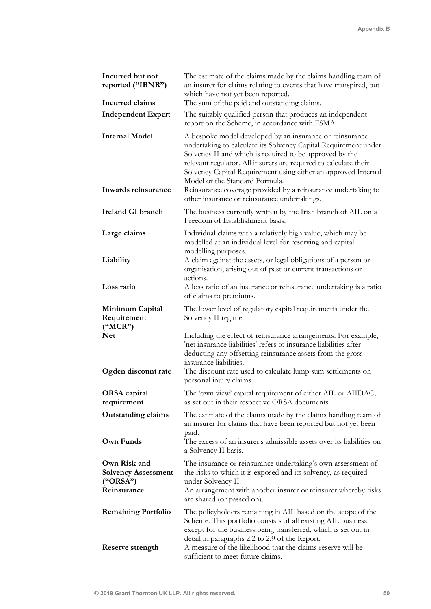| Incurred but not<br>reported ("IBNR")                                 | The estimate of the claims made by the claims handling team of<br>an insurer for claims relating to events that have transpired, but<br>which have not yet been reported.                                                                                                                                                                                                                                                                                                       |
|-----------------------------------------------------------------------|---------------------------------------------------------------------------------------------------------------------------------------------------------------------------------------------------------------------------------------------------------------------------------------------------------------------------------------------------------------------------------------------------------------------------------------------------------------------------------|
| Incurred claims                                                       | The sum of the paid and outstanding claims.                                                                                                                                                                                                                                                                                                                                                                                                                                     |
| <b>Independent Expert</b>                                             | The suitably qualified person that produces an independent<br>report on the Scheme, in accordance with FSMA.                                                                                                                                                                                                                                                                                                                                                                    |
| <b>Internal Model</b><br>Inwards reinsurance                          | A bespoke model developed by an insurance or reinsurance<br>undertaking to calculate its Solvency Capital Requirement under<br>Solvency II and which is required to be approved by the<br>relevant regulator. All insurers are required to calculate their<br>Solvency Capital Requirement using either an approved Internal<br>Model or the Standard Formula.<br>Reinsurance coverage provided by a reinsurance undertaking to<br>other insurance or reinsurance undertakings. |
| Ireland GI branch                                                     | The business currently written by the Irish branch of AIL on a<br>Freedom of Establishment basis.                                                                                                                                                                                                                                                                                                                                                                               |
| Large claims<br>Liability                                             | Individual claims with a relatively high value, which may be<br>modelled at an individual level for reserving and capital<br>modelling purposes.<br>A claim against the assets, or legal obligations of a person or                                                                                                                                                                                                                                                             |
|                                                                       | organisation, arising out of past or current transactions or                                                                                                                                                                                                                                                                                                                                                                                                                    |
| Loss ratio                                                            | actions.<br>A loss ratio of an insurance or reinsurance undertaking is a ratio<br>of claims to premiums.                                                                                                                                                                                                                                                                                                                                                                        |
| Minimum Capital<br>Requirement<br>("MCR")                             | The lower level of regulatory capital requirements under the<br>Solvency II regime.                                                                                                                                                                                                                                                                                                                                                                                             |
| <b>Net</b><br>Ogden discount rate                                     | Including the effect of reinsurance arrangements. For example,<br>'net insurance liabilities' refers to insurance liabilities after<br>deducting any offsetting reinsurance assets from the gross<br>insurance liabilities.<br>The discount rate used to calculate lump sum settlements on<br>personal injury claims.                                                                                                                                                           |
| <b>ORSA</b> capital<br>requirement                                    | The 'own view' capital requirement of either AIL or AIIDAC,<br>as set out in their respective ORSA documents.                                                                                                                                                                                                                                                                                                                                                                   |
| <b>Outstanding claims</b><br>Own Funds                                | The estimate of the claims made by the claims handling team of<br>an insurer for claims that have been reported but not yet been<br>paid.<br>The excess of an insurer's admissible assets over its liabilities on<br>a Solvency II basis.                                                                                                                                                                                                                                       |
| Own Risk and<br><b>Solvency Assessment</b><br>("ORSA")<br>Reinsurance | The insurance or reinsurance undertaking's own assessment of<br>the risks to which it is exposed and its solvency, as required<br>under Solvency II.<br>An arrangement with another insurer or reinsurer whereby risks<br>are shared (or passed on).                                                                                                                                                                                                                            |
| <b>Remaining Portfolio</b>                                            | The policyholders remaining in AIL based on the scope of the<br>Scheme. This portfolio consists of all existing AIL business<br>except for the business being transferred, which is set out in<br>detail in paragraphs 2.2 to 2.9 of the Report.                                                                                                                                                                                                                                |
| Reserve strength                                                      | A measure of the likelihood that the claims reserve will be<br>sufficient to meet future claims.                                                                                                                                                                                                                                                                                                                                                                                |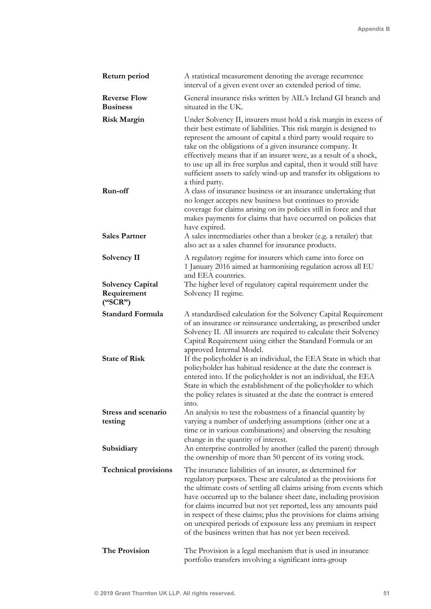| Return period                                     | A statistical measurement denoting the average recurrence<br>interval of a given event over an extended period of time.                                                                                                                                                                                                                                                                                                                                                                                                                                                                                                                                        |
|---------------------------------------------------|----------------------------------------------------------------------------------------------------------------------------------------------------------------------------------------------------------------------------------------------------------------------------------------------------------------------------------------------------------------------------------------------------------------------------------------------------------------------------------------------------------------------------------------------------------------------------------------------------------------------------------------------------------------|
| <b>Reverse Flow</b><br><b>Business</b>            | General insurance risks written by AIL's Ireland GI branch and<br>situated in the UK.                                                                                                                                                                                                                                                                                                                                                                                                                                                                                                                                                                          |
| <b>Risk Margin</b>                                | Under Solvency II, insurers must hold a risk margin in excess of<br>their best estimate of liabilities. This risk margin is designed to<br>represent the amount of capital a third party would require to<br>take on the obligations of a given insurance company. It<br>effectively means that if an insurer were, as a result of a shock,<br>to use up all its free surplus and capital, then it would still have<br>sufficient assets to safely wind-up and transfer its obligations to<br>a third party.                                                                                                                                                   |
| Run-off                                           | A class of insurance business or an insurance undertaking that<br>no longer accepts new business but continues to provide<br>coverage for claims arising on its policies still in force and that<br>makes payments for claims that have occurred on policies that<br>have expired.                                                                                                                                                                                                                                                                                                                                                                             |
| <b>Sales Partner</b>                              | A sales intermediaries other than a broker (e.g. a retailer) that<br>also act as a sales channel for insurance products.                                                                                                                                                                                                                                                                                                                                                                                                                                                                                                                                       |
| <b>Solvency II</b>                                | A regulatory regime for insurers which came into force on<br>1 January 2016 aimed at harmonising regulation across all EU<br>and EEA countries.                                                                                                                                                                                                                                                                                                                                                                                                                                                                                                                |
| <b>Solvency Capital</b><br>Requirement<br>("SCR") | The higher level of regulatory capital requirement under the<br>Solvency II regime.                                                                                                                                                                                                                                                                                                                                                                                                                                                                                                                                                                            |
| <b>Standard Formula</b><br><b>State of Risk</b>   | A standardised calculation for the Solvency Capital Requirement<br>of an insurance or reinsurance undertaking, as prescribed under<br>Solvency II. All insurers are required to calculate their Solvency<br>Capital Requirement using either the Standard Formula or an<br>approved Internal Model.<br>If the policyholder is an individual, the EEA State in which that<br>policyholder has habitual residence at the date the contract is<br>entered into. If the policyholder is not an individual, the EEA<br>State in which the establishment of the policyholder to which<br>the policy relates is situated at the date the contract is entered<br>into. |
| <b>Stress and scenario</b>                        | An analysis to test the robustness of a financial quantity by                                                                                                                                                                                                                                                                                                                                                                                                                                                                                                                                                                                                  |
| testing                                           | varying a number of underlying assumptions (either one at a<br>time or in various combinations) and observing the resulting<br>change in the quantity of interest.                                                                                                                                                                                                                                                                                                                                                                                                                                                                                             |
| Subsidiary                                        | An enterprise controlled by another (called the parent) through<br>the ownership of more than 50 percent of its voting stock.                                                                                                                                                                                                                                                                                                                                                                                                                                                                                                                                  |
| <b>Technical provisions</b>                       | The insurance liabilities of an insurer, as determined for<br>regulatory purposes. These are calculated as the provisions for<br>the ultimate costs of settling all claims arising from events which<br>have occurred up to the balance sheet date, including provision<br>for claims incurred but not yet reported, less any amounts paid<br>in respect of these claims; plus the provisions for claims arising<br>on unexpired periods of exposure less any premium in respect<br>of the business written that has not yet been received.                                                                                                                    |
| The Provision                                     | The Provision is a legal mechanism that is used in insurance<br>portfolio transfers involving a significant intra-group                                                                                                                                                                                                                                                                                                                                                                                                                                                                                                                                        |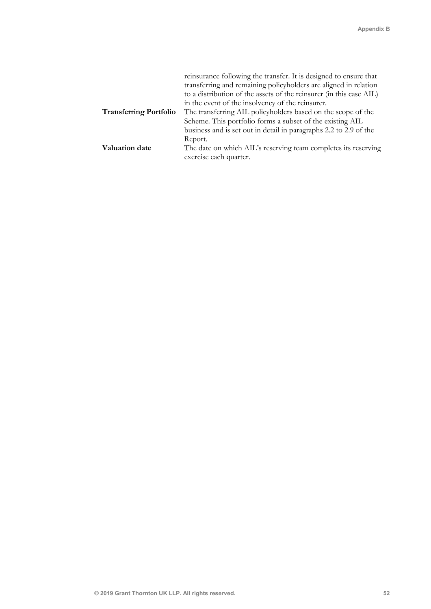|                               | reinsurance following the transfer. It is designed to ensure that<br>transferring and remaining policyholders are aligned in relation<br>to a distribution of the assets of the reinsurer (in this case AIL)<br>in the event of the insolvency of the reinsurer. |
|-------------------------------|------------------------------------------------------------------------------------------------------------------------------------------------------------------------------------------------------------------------------------------------------------------|
| <b>Transferring Portfolio</b> | The transferring AIL policyholders based on the scope of the                                                                                                                                                                                                     |
|                               | Scheme. This portfolio forms a subset of the existing AIL                                                                                                                                                                                                        |
|                               | business and is set out in detail in paragraphs 2.2 to 2.9 of the                                                                                                                                                                                                |
|                               | Report.                                                                                                                                                                                                                                                          |
| <b>Valuation date</b>         | The date on which AIL's reserving team completes its reserving<br>exercise each quarter.                                                                                                                                                                         |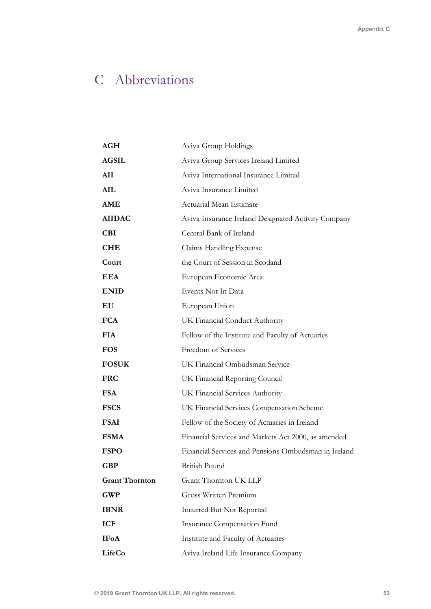# C Abbreviations

| AGH                   | Aviva Group Holdings                                 |
|-----------------------|------------------------------------------------------|
| <b>AGSIL</b>          | Aviva Group Services Ireland Limited                 |
| AII                   | Aviva International Insurance Limited                |
| AIL                   | Aviva Insurance Limited                              |
| <b>AME</b>            | Actuarial Mean Estimate                              |
| <b>AIIDAC</b>         | Aviva Insurance Ireland Designated Activity Company  |
| <b>CBI</b>            | Central Bank of Ireland                              |
| <b>CHE</b>            | Claims Handling Expense                              |
| Court                 | the Court of Session in Scotland                     |
| EEA                   | European Economic Area                               |
| <b>ENID</b>           | Events Not In Data                                   |
| EU                    | European Union                                       |
| <b>FCA</b>            | UK Financial Conduct Authority                       |
| <b>FIA</b>            | Fellow of the Institute and Faculty of Actuaries     |
| <b>FOS</b>            | Freedom of Services                                  |
| <b>FOSUK</b>          | UK Financial Ombudsman Service                       |
| <b>FRC</b>            | UK Financial Reporting Council                       |
| <b>FSA</b>            | UK Financial Services Authority                      |
| <b>FSCS</b>           | UK Financial Services Compensation Scheme            |
| <b>FSAI</b>           | Fellow of the Society of Actuaries in Ireland        |
| <b>FSMA</b>           | Financial Services and Markets Act 2000, as amended  |
| <b>FSPO</b>           | Financial Services and Pensions Ombudsman in Ireland |
| <b>GBP</b>            | British Pound                                        |
| <b>Grant Thornton</b> | Grant Thornton UK LLP                                |
| <b>GWP</b>            | <b>Gross Written Premium</b>                         |
| <b>IBNR</b>           | <b>Incurred But Not Reported</b>                     |
| <b>ICF</b>            | <b>Insurance Compensation Fund</b>                   |
| <b>IFoA</b>           | Institute and Faculty of Actuaries                   |
| LifeCo                | Aviva Ireland Life Insurance Company                 |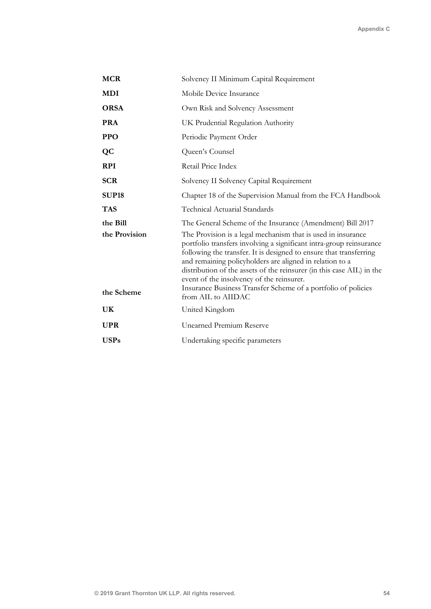| <b>MCR</b>    | Solvency II Minimum Capital Requirement                                                                                                                                                                                                                                                                                                                                                                                                                      |
|---------------|--------------------------------------------------------------------------------------------------------------------------------------------------------------------------------------------------------------------------------------------------------------------------------------------------------------------------------------------------------------------------------------------------------------------------------------------------------------|
| <b>MDI</b>    | Mobile Device Insurance                                                                                                                                                                                                                                                                                                                                                                                                                                      |
| <b>ORSA</b>   | Own Risk and Solvency Assessment                                                                                                                                                                                                                                                                                                                                                                                                                             |
| <b>PRA</b>    | UK Prudential Regulation Authority                                                                                                                                                                                                                                                                                                                                                                                                                           |
| <b>PPO</b>    | Periodic Payment Order                                                                                                                                                                                                                                                                                                                                                                                                                                       |
| <b>QC</b>     | Queen's Counsel                                                                                                                                                                                                                                                                                                                                                                                                                                              |
| <b>RPI</b>    | Retail Price Index                                                                                                                                                                                                                                                                                                                                                                                                                                           |
| <b>SCR</b>    | Solvency II Solvency Capital Requirement                                                                                                                                                                                                                                                                                                                                                                                                                     |
| <b>SUP18</b>  | Chapter 18 of the Supervision Manual from the FCA Handbook                                                                                                                                                                                                                                                                                                                                                                                                   |
| <b>TAS</b>    | Technical Actuarial Standards                                                                                                                                                                                                                                                                                                                                                                                                                                |
| the Bill      | The General Scheme of the Insurance (Amendment) Bill 2017                                                                                                                                                                                                                                                                                                                                                                                                    |
| the Provision | The Provision is a legal mechanism that is used in insurance<br>portfolio transfers involving a significant intra-group reinsurance<br>following the transfer. It is designed to ensure that transferring<br>and remaining policyholders are aligned in relation to a<br>distribution of the assets of the reinsurer (in this case AIL) in the<br>event of the insolvency of the reinsurer.<br>Insurance Business Transfer Scheme of a portfolio of policies |
| the Scheme    | from AIL to AIIDAC                                                                                                                                                                                                                                                                                                                                                                                                                                           |
| UK            | United Kingdom                                                                                                                                                                                                                                                                                                                                                                                                                                               |
| <b>UPR</b>    | <b>Unearned Premium Reserve</b>                                                                                                                                                                                                                                                                                                                                                                                                                              |
| <b>USPs</b>   | Undertaking specific parameters                                                                                                                                                                                                                                                                                                                                                                                                                              |